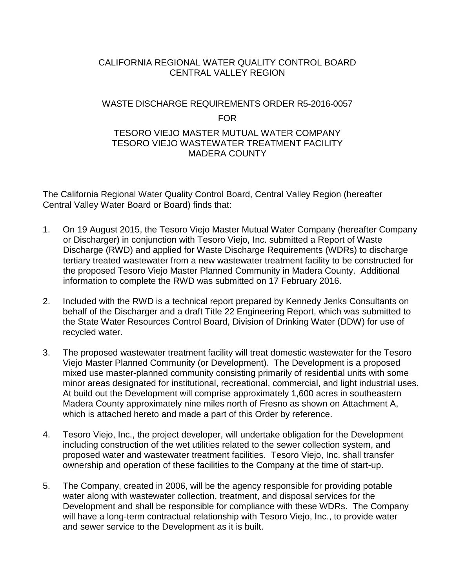# CALIFORNIA REGIONAL WATER QUALITY CONTROL BOARD CENTRAL VALLEY REGION

# WASTE DISCHARGE REQUIREMENTS ORDER R5-2016-0057 FOR

### TESORO VIEJO MASTER MUTUAL WATER COMPANY TESORO VIEJO WASTEWATER TREATMENT FACILITY MADERA COUNTY

The California Regional Water Quality Control Board, Central Valley Region (hereafter Central Valley Water Board or Board) finds that:

- 1. On 19 August 2015, the Tesoro Viejo Master Mutual Water Company (hereafter Company or Discharger) in conjunction with Tesoro Viejo, Inc. submitted a Report of Waste Discharge (RWD) and applied for Waste Discharge Requirements (WDRs) to discharge tertiary treated wastewater from a new wastewater treatment facility to be constructed for the proposed Tesoro Viejo Master Planned Community in Madera County. Additional information to complete the RWD was submitted on 17 February 2016.
- 2. Included with the RWD is a technical report prepared by Kennedy Jenks Consultants on behalf of the Discharger and a draft Title 22 Engineering Report, which was submitted to the State Water Resources Control Board, Division of Drinking Water (DDW) for use of recycled water.
- 3. The proposed wastewater treatment facility will treat domestic wastewater for the Tesoro Viejo Master Planned Community (or Development). The Development is a proposed mixed use master-planned community consisting primarily of residential units with some minor areas designated for institutional, recreational, commercial, and light industrial uses. At build out the Development will comprise approximately 1,600 acres in southeastern Madera County approximately nine miles north of Fresno as shown on Attachment A, which is attached hereto and made a part of this Order by reference.
- 4. Tesoro Viejo, Inc., the project developer, will undertake obligation for the Development including construction of the wet utilities related to the sewer collection system, and proposed water and wastewater treatment facilities. Tesoro Viejo, Inc. shall transfer ownership and operation of these facilities to the Company at the time of start-up.
- 5. The Company, created in 2006, will be the agency responsible for providing potable water along with wastewater collection, treatment, and disposal services for the Development and shall be responsible for compliance with these WDRs. The Company will have a long-term contractual relationship with Tesoro Viejo, Inc., to provide water and sewer service to the Development as it is built.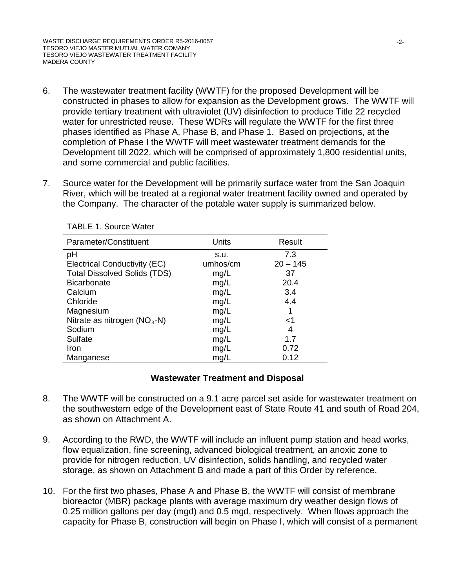- 6. The wastewater treatment facility (WWTF) for the proposed Development will be constructed in phases to allow for expansion as the Development grows. The WWTF will provide tertiary treatment with ultraviolet (UV) disinfection to produce Title 22 recycled water for unrestricted reuse. These WDRs will regulate the WWTF for the first three phases identified as Phase A, Phase B, and Phase 1. Based on projections, at the completion of Phase I the WWTF will meet wastewater treatment demands for the Development till 2022, which will be comprised of approximately 1,800 residential units, and some commercial and public facilities.
- 7. Source water for the Development will be primarily surface water from the San Joaquin River, which will be treated at a regional water treatment facility owned and operated by the Company. The character of the potable water supply is summarized below.

| Parameter/Constituent               | <b>Units</b> | Result     |
|-------------------------------------|--------------|------------|
| рH                                  | S.U.         | 7.3        |
| Electrical Conductivity (EC)        | umhos/cm     | $20 - 145$ |
| <b>Total Dissolved Solids (TDS)</b> | mg/L         | 37         |
| <b>Bicarbonate</b>                  | mg/L         | 20.4       |
| Calcium                             | mg/L         | 3.4        |
| Chloride                            | mg/L         | 4.4        |
| Magnesium                           | mg/L         |            |
| Nitrate as nitrogen $(NO3-N)$       | mg/L         | <1         |
| Sodium                              | mg/L         | 4          |
| Sulfate                             | mg/L         | 1.7        |
| Iron                                | mg/L         | 0.72       |
| Manganese                           | mg/L         | 0.12       |

TABLE 1. Source Water

### **Wastewater Treatment and Disposal**

- 8. The WWTF will be constructed on a 9.1 acre parcel set aside for wastewater treatment on the southwestern edge of the Development east of State Route 41 and south of Road 204, as shown on Attachment A.
- 9. According to the RWD, the WWTF will include an influent pump station and head works, flow equalization, fine screening, advanced biological treatment, an anoxic zone to provide for nitrogen reduction, UV disinfection, solids handling, and recycled water storage, as shown on Attachment B and made a part of this Order by reference.
- 10. For the first two phases, Phase A and Phase B, the WWTF will consist of membrane bioreactor (MBR) package plants with average maximum dry weather design flows of 0.25 million gallons per day (mgd) and 0.5 mgd, respectively. When flows approach the capacity for Phase B, construction will begin on Phase I, which will consist of a permanent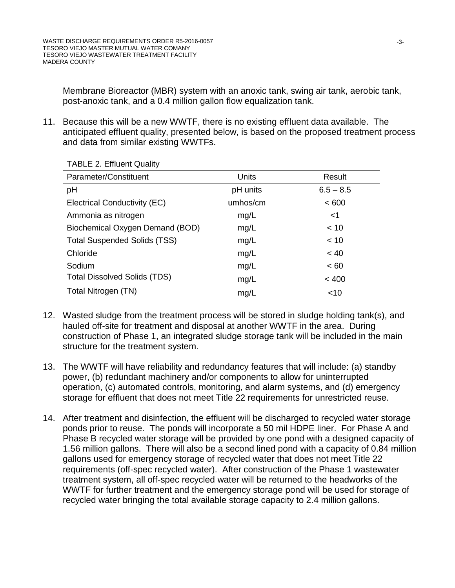Membrane Bioreactor (MBR) system with an anoxic tank, swing air tank, aerobic tank, post-anoxic tank, and a 0.4 million gallon flow equalization tank.

11. Because this will be a new WWTF, there is no existing effluent data available. The anticipated effluent quality, presented below, is based on the proposed treatment process and data from similar existing WWTFs.

| Parameter/Constituent               | <b>Units</b> | Result      |
|-------------------------------------|--------------|-------------|
| pH                                  | pH units     | $6.5 - 8.5$ |
| Electrical Conductivity (EC)        | umhos/cm     | < 600       |
| Ammonia as nitrogen                 | mg/L         | $<$ 1       |
| Biochemical Oxygen Demand (BOD)     | mg/L         | < 10        |
| <b>Total Suspended Solids (TSS)</b> | mg/L         | < 10        |
| Chloride                            | mg/L         | ~< 40       |
| Sodium                              | mg/L         | ~< 60       |
| <b>Total Dissolved Solids (TDS)</b> | mg/L         | < 400       |
| Total Nitrogen (TN)                 | mg/L         | ~10         |

TABLE 2. Effluent Quality

- 12. Wasted sludge from the treatment process will be stored in sludge holding tank(s), and hauled off-site for treatment and disposal at another WWTF in the area. During construction of Phase 1, an integrated sludge storage tank will be included in the main structure for the treatment system.
- 13. The WWTF will have reliability and redundancy features that will include: (a) standby power, (b) redundant machinery and/or components to allow for uninterrupted operation, (c) automated controls, monitoring, and alarm systems, and (d) emergency storage for effluent that does not meet Title 22 requirements for unrestricted reuse.
- 14. After treatment and disinfection, the effluent will be discharged to recycled water storage ponds prior to reuse. The ponds will incorporate a 50 mil HDPE liner. For Phase A and Phase B recycled water storage will be provided by one pond with a designed capacity of 1.56 million gallons. There will also be a second lined pond with a capacity of 0.84 million gallons used for emergency storage of recycled water that does not meet Title 22 requirements (off-spec recycled water). After construction of the Phase 1 wastewater treatment system, all off-spec recycled water will be returned to the headworks of the WWTF for further treatment and the emergency storage pond will be used for storage of recycled water bringing the total available storage capacity to 2.4 million gallons.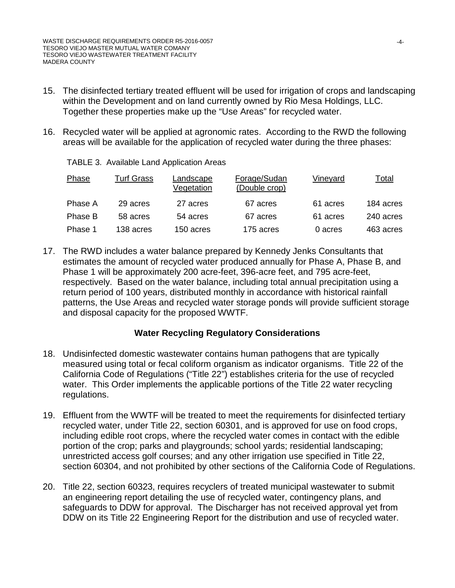TABLE 3. Available Land Application Areas

- 15. The disinfected tertiary treated effluent will be used for irrigation of crops and landscaping within the Development and on land currently owned by Rio Mesa Holdings, LLC. Together these properties make up the "Use Areas" for recycled water.
- 16. Recycled water will be applied at agronomic rates. According to the RWD the following areas will be available for the application of recycled water during the three phases:

| Phase   | <b>Turf Grass</b> | Landscape<br>Vegetation | Forage/Sudan<br>(Double crop) | <b>Vineyard</b> | <u>Total</u> |
|---------|-------------------|-------------------------|-------------------------------|-----------------|--------------|
| Phase A | 29 acres          | 27 acres                | 67 acres                      | 61 acres        | 184 acres    |
| Phase B | 58 acres          | 54 acres                | 67 acres                      | 61 acres        | 240 acres    |
| Phase 1 | 138 acres         | 150 acres               | 175 acres                     | 0 acres         | 463 acres    |

17. The RWD includes a water balance prepared by Kennedy Jenks Consultants that estimates the amount of recycled water produced annually for Phase A, Phase B, and Phase 1 will be approximately 200 acre-feet, 396-acre feet, and 795 acre-feet, respectively. Based on the water balance, including total annual precipitation using a return period of 100 years, distributed monthly in accordance with historical rainfall patterns, the Use Areas and recycled water storage ponds will provide sufficient storage and disposal capacity for the proposed WWTF.

# **Water Recycling Regulatory Considerations**

- 18. Undisinfected domestic wastewater contains human pathogens that are typically measured using total or fecal coliform organism as indicator organisms. Title 22 of the California Code of Regulations ("Title 22") establishes criteria for the use of recycled water. This Order implements the applicable portions of the Title 22 water recycling regulations.
- 19. Effluent from the WWTF will be treated to meet the requirements for disinfected tertiary recycled water, under Title 22, section 60301, and is approved for use on food crops, including edible root crops, where the recycled water comes in contact with the edible portion of the crop; parks and playgrounds; school yards; residential landscaping; unrestricted access golf courses; and any other irrigation use specified in Title 22, section 60304, and not prohibited by other sections of the California Code of Regulations.
- 20. Title 22, section 60323, requires recyclers of treated municipal wastewater to submit an engineering report detailing the use of recycled water, contingency plans, and safeguards to DDW for approval. The Discharger has not received approval yet from DDW on its Title 22 Engineering Report for the distribution and use of recycled water.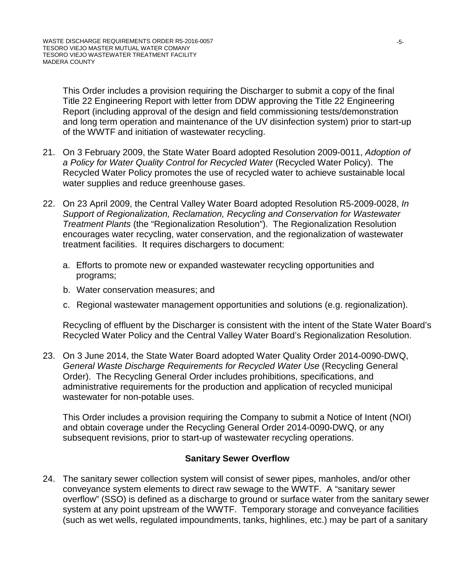This Order includes a provision requiring the Discharger to submit a copy of the final Title 22 Engineering Report with letter from DDW approving the Title 22 Engineering Report (including approval of the design and field commissioning tests/demonstration and long term operation and maintenance of the UV disinfection system) prior to start-up of the WWTF and initiation of wastewater recycling.

- 21. On 3 February 2009, the State Water Board adopted Resolution 2009-0011, *Adoption of a Policy for Water Quality Control for Recycled Water* (Recycled Water Policy). The Recycled Water Policy promotes the use of recycled water to achieve sustainable local water supplies and reduce greenhouse gases.
- 22. On 23 April 2009, the Central Valley Water Board adopted Resolution R5-2009-0028, *In Support of Regionalization, Reclamation, Recycling and Conservation for Wastewater Treatment Plants* (the "Regionalization Resolution"). The Regionalization Resolution encourages water recycling, water conservation, and the regionalization of wastewater treatment facilities. It requires dischargers to document:
	- a. Efforts to promote new or expanded wastewater recycling opportunities and programs;
	- b. Water conservation measures; and
	- c. Regional wastewater management opportunities and solutions (e.g. regionalization).

Recycling of effluent by the Discharger is consistent with the intent of the State Water Board's Recycled Water Policy and the Central Valley Water Board's Regionalization Resolution.

23. On 3 June 2014, the State Water Board adopted Water Quality Order 2014-0090-DWQ, *General Waste Discharge Requirements for Recycled Water Use* (Recycling General Order). The Recycling General Order includes prohibitions, specifications, and administrative requirements for the production and application of recycled municipal wastewater for non-potable uses.

This Order includes a provision requiring the Company to submit a Notice of Intent (NOI) and obtain coverage under the Recycling General Order 2014-0090-DWQ, or any subsequent revisions, prior to start-up of wastewater recycling operations.

### **Sanitary Sewer Overflow**

24. The sanitary sewer collection system will consist of sewer pipes, manholes, and/or other conveyance system elements to direct raw sewage to the WWTF. A "sanitary sewer overflow" (SSO) is defined as a discharge to ground or surface water from the sanitary sewer system at any point upstream of the WWTF. Temporary storage and conveyance facilities (such as wet wells, regulated impoundments, tanks, highlines, etc.) may be part of a sanitary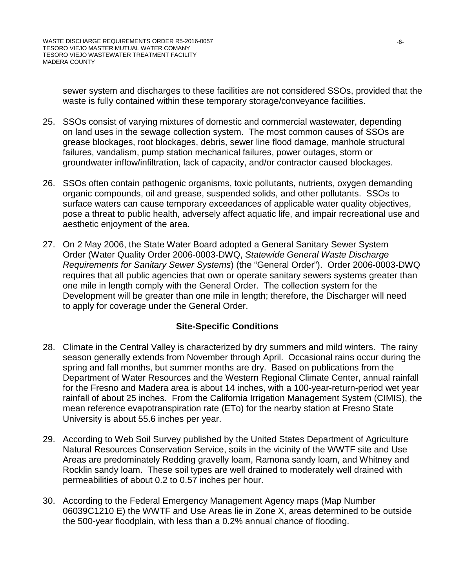sewer system and discharges to these facilities are not considered SSOs, provided that the waste is fully contained within these temporary storage/conveyance facilities.

- 25. SSOs consist of varying mixtures of domestic and commercial wastewater, depending on land uses in the sewage collection system. The most common causes of SSOs are grease blockages, root blockages, debris, sewer line flood damage, manhole structural failures, vandalism, pump station mechanical failures, power outages, storm or groundwater inflow/infiltration, lack of capacity, and/or contractor caused blockages.
- 26. SSOs often contain pathogenic organisms, toxic pollutants, nutrients, oxygen demanding organic compounds, oil and grease, suspended solids, and other pollutants. SSOs to surface waters can cause temporary exceedances of applicable water quality objectives, pose a threat to public health, adversely affect aquatic life, and impair recreational use and aesthetic enjoyment of the area.
- 27. On 2 May 2006, the State Water Board adopted a General Sanitary Sewer System Order (Water Quality Order 2006-0003-DWQ, *Statewide General Waste Discharge Requirements for Sanitary Sewer Systems*) (the "General Order"). Order 2006-0003-DWQ requires that all public agencies that own or operate sanitary sewers systems greater than one mile in length comply with the General Order. The collection system for the Development will be greater than one mile in length; therefore, the Discharger will need to apply for coverage under the General Order.

# **Site-Specific Conditions**

- 28. Climate in the Central Valley is characterized by dry summers and mild winters. The rainy season generally extends from November through April. Occasional rains occur during the spring and fall months, but summer months are dry. Based on publications from the Department of Water Resources and the Western Regional Climate Center, annual rainfall for the Fresno and Madera area is about 14 inches, with a 100-year-return-period wet year rainfall of about 25 inches. From the California Irrigation Management System (CIMIS), the mean reference evapotranspiration rate (ETo) for the nearby station at Fresno State University is about 55.6 inches per year.
- 29. According to Web Soil Survey published by the United States Department of Agriculture Natural Resources Conservation Service, soils in the vicinity of the WWTF site and Use Areas are predominately Redding gravelly loam, Ramona sandy loam, and Whitney and Rocklin sandy loam. These soil types are well drained to moderately well drained with permeabilities of about 0.2 to 0.57 inches per hour.
- 30. According to the Federal Emergency Management Agency maps (Map Number 06039C1210 E) the WWTF and Use Areas lie in Zone X, areas determined to be outside the 500-year floodplain, with less than a 0.2% annual chance of flooding.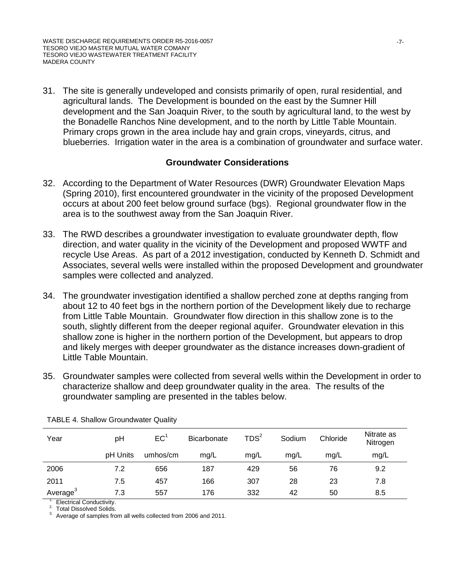31. The site is generally undeveloped and consists primarily of open, rural residential, and agricultural lands. The Development is bounded on the east by the Sumner Hill development and the San Joaquin River, to the south by agricultural land, to the west by the Bonadelle Ranchos Nine development, and to the north by Little Table Mountain. Primary crops grown in the area include hay and grain crops, vineyards, citrus, and blueberries. Irrigation water in the area is a combination of groundwater and surface water.

#### **Groundwater Considerations**

- 32. According to the Department of Water Resources (DWR) Groundwater Elevation Maps (Spring 2010), first encountered groundwater in the vicinity of the proposed Development occurs at about 200 feet below ground surface (bgs). Regional groundwater flow in the area is to the southwest away from the San Joaquin River.
- 33. The RWD describes a groundwater investigation to evaluate groundwater depth, flow direction, and water quality in the vicinity of the Development and proposed WWTF and recycle Use Areas. As part of a 2012 investigation, conducted by Kenneth D. Schmidt and Associates, several wells were installed within the proposed Development and groundwater samples were collected and analyzed.
- 34. The groundwater investigation identified a shallow perched zone at depths ranging from about 12 to 40 feet bgs in the northern portion of the Development likely due to recharge from Little Table Mountain. Groundwater flow direction in this shallow zone is to the south, slightly different from the deeper regional aquifer. Groundwater elevation in this shallow zone is higher in the northern portion of the Development, but appears to drop and likely merges with deeper groundwater as the distance increases down-gradient of Little Table Mountain.
- 35. Groundwater samples were collected from several wells within the Development in order to characterize shallow and deep groundwater quality in the area. The results of the groundwater sampling are presented in the tables below.

| Year                 | рH       | EC <sup>1</sup> | Bicarbonate | TDS <sup>2</sup> | Sodium | Chloride | Nitrate as<br>Nitrogen |
|----------------------|----------|-----------------|-------------|------------------|--------|----------|------------------------|
|                      | pH Units | umhos/cm        | mg/L        | mg/L             | mg/L   | mg/L     | mg/L                   |
| 2006                 | 7.2      | 656             | 187         | 429              | 56     | 76       | 9.2                    |
| 2011                 | 7.5      | 457             | 166         | 307              | 28     | 23       | 7.8                    |
| Average <sup>3</sup> | 7.3      | 557             | 176         | 332              | 42     | 50       | 8.5                    |

TABLE 4. Shallow Groundwater Quality

<sup>1</sup>. Electrical Conductivity.<br><sup>2.</sup> Total Dissolved Solids.<br><sup>3.</sup> Average of samples from all wells collected from 2006 and 2011.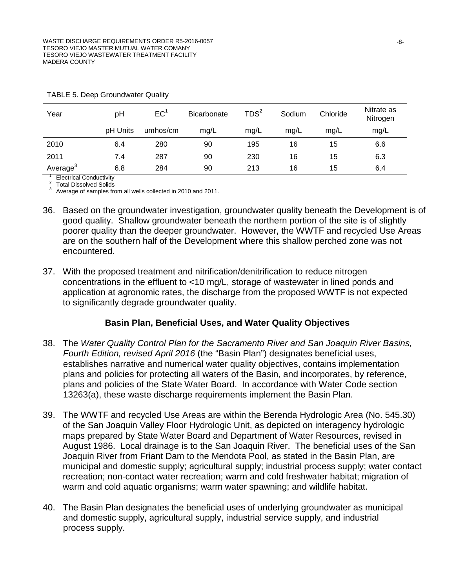| Year                 | pH       | EC <sup>1</sup> | <b>Bicarbonate</b> | TDS <sup>2</sup> | Sodium | Chloride | Nitrate as<br>Nitrogen |
|----------------------|----------|-----------------|--------------------|------------------|--------|----------|------------------------|
|                      | pH Units | umhos/cm        | mg/L               | mg/L             | mg/L   | mg/L     | mg/L                   |
| 2010                 | 6.4      | 280             | 90                 | 195              | 16     | 15       | 6.6                    |
| 2011                 | 7.4      | 287             | 90                 | 230              | 16     | 15       | 6.3                    |
| Average <sup>3</sup> | 6.8      | 284             | 90                 | 213              | 16     | 15       | 6.4                    |

TABLE 5. Deep Groundwater Quality

<sup>1.</sup> Electrical Conductivity<br><sup>2.</sup> Total Dissolved Solids<br><sup>3.</sup> Average of samples from all wells collected in 2010 and 2011.

- 36. Based on the groundwater investigation, groundwater quality beneath the Development is of good quality. Shallow groundwater beneath the northern portion of the site is of slightly poorer quality than the deeper groundwater. However, the WWTF and recycled Use Areas are on the southern half of the Development where this shallow perched zone was not encountered.
- 37. With the proposed treatment and nitrification/denitrification to reduce nitrogen concentrations in the effluent to <10 mg/L, storage of wastewater in lined ponds and application at agronomic rates, the discharge from the proposed WWTF is not expected to significantly degrade groundwater quality.

### **Basin Plan, Beneficial Uses, and Water Quality Objectives**

- 38. The *Water Quality Control Plan for the Sacramento River and San Joaquin River Basins, Fourth Edition, revised April 2016* (the "Basin Plan") designates beneficial uses, establishes narrative and numerical water quality objectives, contains implementation plans and policies for protecting all waters of the Basin, and incorporates, by reference, plans and policies of the State Water Board. In accordance with Water Code section 13263(a), these waste discharge requirements implement the Basin Plan.
- 39. The WWTF and recycled Use Areas are within the Berenda Hydrologic Area (No. 545.30) of the San Joaquin Valley Floor Hydrologic Unit, as depicted on interagency hydrologic maps prepared by State Water Board and Department of Water Resources, revised in August 1986. Local drainage is to the San Joaquin River. The beneficial uses of the San Joaquin River from Friant Dam to the Mendota Pool, as stated in the Basin Plan, are municipal and domestic supply; agricultural supply; industrial process supply; water contact recreation; non-contact water recreation; warm and cold freshwater habitat; migration of warm and cold aquatic organisms; warm water spawning; and wildlife habitat.
- 40. The Basin Plan designates the beneficial uses of underlying groundwater as municipal and domestic supply, agricultural supply, industrial service supply, and industrial process supply.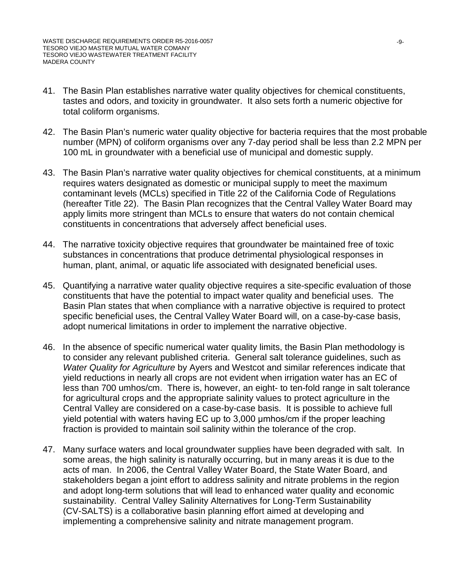- 41. The Basin Plan establishes narrative water quality objectives for chemical constituents, tastes and odors, and toxicity in groundwater. It also sets forth a numeric objective for total coliform organisms.
- 42. The Basin Plan's numeric water quality objective for bacteria requires that the most probable number (MPN) of coliform organisms over any 7-day period shall be less than 2.2 MPN per 100 mL in groundwater with a beneficial use of municipal and domestic supply.
- 43. The Basin Plan's narrative water quality objectives for chemical constituents, at a minimum requires waters designated as domestic or municipal supply to meet the maximum contaminant levels (MCLs) specified in Title 22 of the California Code of Regulations (hereafter Title 22). The Basin Plan recognizes that the Central Valley Water Board may apply limits more stringent than MCLs to ensure that waters do not contain chemical constituents in concentrations that adversely affect beneficial uses.
- 44. The narrative toxicity objective requires that groundwater be maintained free of toxic substances in concentrations that produce detrimental physiological responses in human, plant, animal, or aquatic life associated with designated beneficial uses.
- 45. Quantifying a narrative water quality objective requires a site-specific evaluation of those constituents that have the potential to impact water quality and beneficial uses. The Basin Plan states that when compliance with a narrative objective is required to protect specific beneficial uses, the Central Valley Water Board will, on a case-by-case basis, adopt numerical limitations in order to implement the narrative objective.
- 46. In the absence of specific numerical water quality limits, the Basin Plan methodology is to consider any relevant published criteria. General salt tolerance guidelines, such as *Water Quality for Agriculture* by Ayers and Westcot and similar references indicate that yield reductions in nearly all crops are not evident when irrigation water has an EC of less than 700 umhos/cm. There is, however, an eight- to ten-fold range in salt tolerance for agricultural crops and the appropriate salinity values to protect agriculture in the Central Valley are considered on a case-by-case basis. It is possible to achieve full yield potential with waters having EC up to 3,000 μmhos/cm if the proper leaching fraction is provided to maintain soil salinity within the tolerance of the crop.
- 47. Many surface waters and local groundwater supplies have been degraded with salt. In some areas, the high salinity is naturally occurring, but in many areas it is due to the acts of man. In 2006, the Central Valley Water Board, the State Water Board, and stakeholders began a joint effort to address salinity and nitrate problems in the region and adopt long-term solutions that will lead to enhanced water quality and economic sustainability. Central Valley Salinity Alternatives for Long-Term Sustainability (CV-SALTS) is a collaborative basin planning effort aimed at developing and implementing a comprehensive salinity and nitrate management program.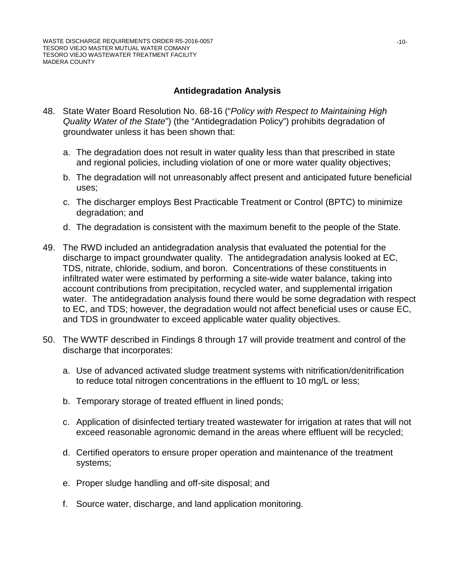### **Antidegradation Analysis**

- 48. State Water Board Resolution No. 68-16 ("*Policy with Respect to Maintaining High Quality Water of the State*") (the "Antidegradation Policy") prohibits degradation of groundwater unless it has been shown that:
	- a. The degradation does not result in water quality less than that prescribed in state and regional policies, including violation of one or more water quality objectives;
	- b. The degradation will not unreasonably affect present and anticipated future beneficial uses;
	- c. The discharger employs Best Practicable Treatment or Control (BPTC) to minimize degradation; and
	- d. The degradation is consistent with the maximum benefit to the people of the State.
- 49. The RWD included an antidegradation analysis that evaluated the potential for the discharge to impact groundwater quality. The antidegradation analysis looked at EC, TDS, nitrate, chloride, sodium, and boron. Concentrations of these constituents in infiltrated water were estimated by performing a site-wide water balance, taking into account contributions from precipitation, recycled water, and supplemental irrigation water. The antidegradation analysis found there would be some degradation with respect to EC, and TDS; however, the degradation would not affect beneficial uses or cause EC, and TDS in groundwater to exceed applicable water quality objectives.
- 50. The WWTF described in Findings 8 through 17 will provide treatment and control of the discharge that incorporates:
	- a. Use of advanced activated sludge treatment systems with nitrification/denitrification to reduce total nitrogen concentrations in the effluent to 10 mg/L or less;
	- b. Temporary storage of treated effluent in lined ponds;
	- c. Application of disinfected tertiary treated wastewater for irrigation at rates that will not exceed reasonable agronomic demand in the areas where effluent will be recycled;
	- d. Certified operators to ensure proper operation and maintenance of the treatment systems;
	- e. Proper sludge handling and off-site disposal; and
	- f. Source water, discharge, and land application monitoring.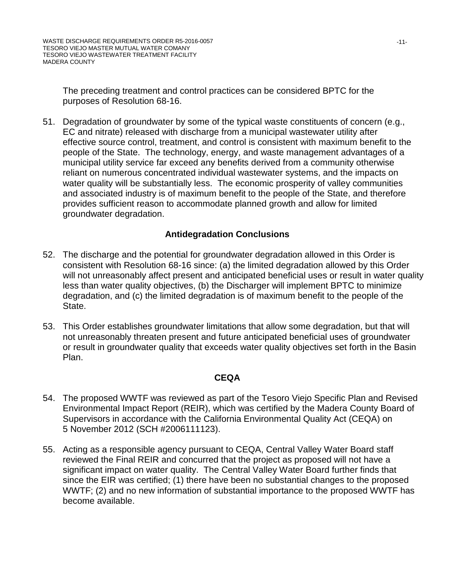The preceding treatment and control practices can be considered BPTC for the purposes of Resolution 68-16.

51. Degradation of groundwater by some of the typical waste constituents of concern (e.g., EC and nitrate) released with discharge from a municipal wastewater utility after effective source control, treatment, and control is consistent with maximum benefit to the people of the State. The technology, energy, and waste management advantages of a municipal utility service far exceed any benefits derived from a community otherwise reliant on numerous concentrated individual wastewater systems, and the impacts on water quality will be substantially less. The economic prosperity of valley communities and associated industry is of maximum benefit to the people of the State, and therefore provides sufficient reason to accommodate planned growth and allow for limited groundwater degradation.

# **Antidegradation Conclusions**

- 52. The discharge and the potential for groundwater degradation allowed in this Order is consistent with Resolution 68-16 since: (a) the limited degradation allowed by this Order will not unreasonably affect present and anticipated beneficial uses or result in water quality less than water quality objectives, (b) the Discharger will implement BPTC to minimize degradation, and (c) the limited degradation is of maximum benefit to the people of the State.
- 53. This Order establishes groundwater limitations that allow some degradation, but that will not unreasonably threaten present and future anticipated beneficial uses of groundwater or result in groundwater quality that exceeds water quality objectives set forth in the Basin Plan.

### **CEQA**

- 54. The proposed WWTF was reviewed as part of the Tesoro Viejo Specific Plan and Revised Environmental Impact Report (REIR), which was certified by the Madera County Board of Supervisors in accordance with the California Environmental Quality Act (CEQA) on 5 November 2012 (SCH #2006111123).
- 55. Acting as a responsible agency pursuant to CEQA, Central Valley Water Board staff reviewed the Final REIR and concurred that the project as proposed will not have a significant impact on water quality. The Central Valley Water Board further finds that since the EIR was certified; (1) there have been no substantial changes to the proposed WWTF; (2) and no new information of substantial importance to the proposed WWTF has become available.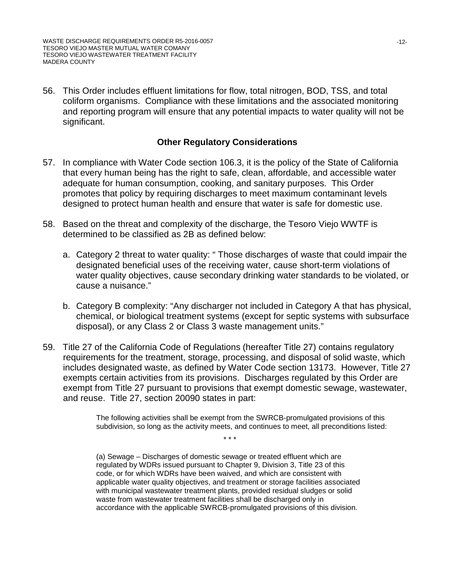56. This Order includes effluent limitations for flow, total nitrogen, BOD, TSS, and total coliform organisms. Compliance with these limitations and the associated monitoring and reporting program will ensure that any potential impacts to water quality will not be significant.

#### **Other Regulatory Considerations**

- 57. In compliance with Water Code section 106.3, it is the policy of the State of California that every human being has the right to safe, clean, affordable, and accessible water adequate for human consumption, cooking, and sanitary purposes. This Order promotes that policy by requiring discharges to meet maximum contaminant levels designed to protect human health and ensure that water is safe for domestic use.
- 58. Based on the threat and complexity of the discharge, the Tesoro Viejo WWTF is determined to be classified as 2B as defined below:
	- a. Category 2 threat to water quality: " Those discharges of waste that could impair the designated beneficial uses of the receiving water, cause short-term violations of water quality objectives, cause secondary drinking water standards to be violated, or cause a nuisance."
	- b. Category B complexity: "Any discharger not included in Category A that has physical, chemical, or biological treatment systems (except for septic systems with subsurface disposal), or any Class 2 or Class 3 waste management units."
- 59. Title 27 of the California Code of Regulations (hereafter Title 27) contains regulatory requirements for the treatment, storage, processing, and disposal of solid waste, which includes designated waste, as defined by Water Code section 13173. However, Title 27 exempts certain activities from its provisions. Discharges regulated by this Order are exempt from Title 27 pursuant to provisions that exempt domestic sewage, wastewater, and reuse. Title 27, section 20090 states in part:

The following activities shall be exempt from the SWRCB-promulgated provisions of this subdivision, so long as the activity meets, and continues to meet, all preconditions listed:

\* \* \*

(a) Sewage – Discharges of domestic sewage or treated effluent which are regulated by WDRs issued pursuant to Chapter 9, Division 3, Title 23 of this code, or for which WDRs have been waived, and which are consistent with applicable water quality objectives, and treatment or storage facilities associated with municipal wastewater treatment plants, provided residual sludges or solid waste from wastewater treatment facilities shall be discharged only in accordance with the applicable SWRCB-promulgated provisions of this division.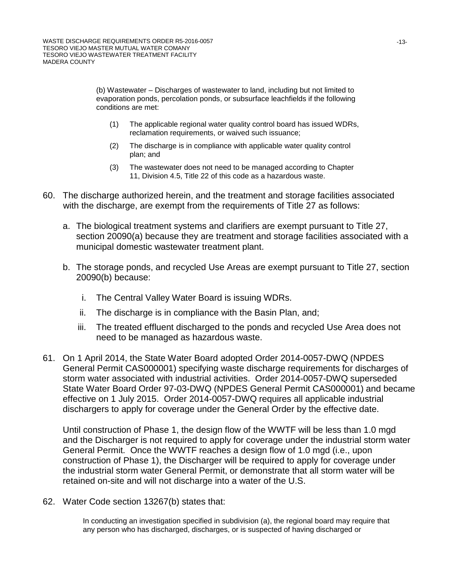(b) Wastewater – Discharges of wastewater to land, including but not limited to evaporation ponds, percolation ponds, or subsurface leachfields if the following conditions are met:

- (1) The applicable regional water quality control board has issued WDRs, reclamation requirements, or waived such issuance;
- (2) The discharge is in compliance with applicable water quality control plan; and
- (3) The wastewater does not need to be managed according to Chapter 11, Division 4.5, Title 22 of this code as a hazardous waste.
- 60. The discharge authorized herein, and the treatment and storage facilities associated with the discharge, are exempt from the requirements of Title 27 as follows:
	- a. The biological treatment systems and clarifiers are exempt pursuant to Title 27, section 20090(a) because they are treatment and storage facilities associated with a municipal domestic wastewater treatment plant.
	- b. The storage ponds, and recycled Use Areas are exempt pursuant to Title 27, section 20090(b) because:
		- i. The Central Valley Water Board is issuing WDRs.
		- ii. The discharge is in compliance with the Basin Plan, and;
		- iii. The treated effluent discharged to the ponds and recycled Use Area does not need to be managed as hazardous waste.
- 61. On 1 April 2014, the State Water Board adopted Order 2014-0057-DWQ (NPDES General Permit CAS000001) specifying waste discharge requirements for discharges of storm water associated with industrial activities. Order 2014-0057-DWQ superseded State Water Board Order 97-03-DWQ (NPDES General Permit CAS000001) and became effective on 1 July 2015. Order 2014-0057-DWQ requires all applicable industrial dischargers to apply for coverage under the General Order by the effective date.

Until construction of Phase 1, the design flow of the WWTF will be less than 1.0 mgd and the Discharger is not required to apply for coverage under the industrial storm water General Permit. Once the WWTF reaches a design flow of 1.0 mgd (i.e., upon construction of Phase 1), the Discharger will be required to apply for coverage under the industrial storm water General Permit, or demonstrate that all storm water will be retained on-site and will not discharge into a water of the U.S.

62. Water Code section 13267(b) states that:

In conducting an investigation specified in subdivision (a), the regional board may require that any person who has discharged, discharges, or is suspected of having discharged or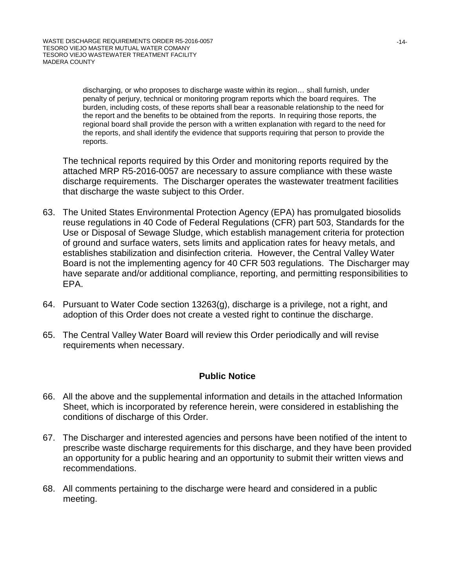discharging, or who proposes to discharge waste within its region… shall furnish, under penalty of perjury, technical or monitoring program reports which the board requires. The burden, including costs, of these reports shall bear a reasonable relationship to the need for the report and the benefits to be obtained from the reports. In requiring those reports, the regional board shall provide the person with a written explanation with regard to the need for the reports, and shall identify the evidence that supports requiring that person to provide the reports.

The technical reports required by this Order and monitoring reports required by the attached MRP R5-2016-0057 are necessary to assure compliance with these waste discharge requirements. The Discharger operates the wastewater treatment facilities that discharge the waste subject to this Order.

- 63. The United States Environmental Protection Agency (EPA) has promulgated biosolids reuse regulations in 40 Code of Federal Regulations (CFR) part 503, Standards for the Use or Disposal of Sewage Sludge, which establish management criteria for protection of ground and surface waters, sets limits and application rates for heavy metals, and establishes stabilization and disinfection criteria. However, the Central Valley Water Board is not the implementing agency for 40 CFR 503 regulations. The Discharger may have separate and/or additional compliance, reporting, and permitting responsibilities to EPA.
- 64. Pursuant to Water Code section 13263(g), discharge is a privilege, not a right, and adoption of this Order does not create a vested right to continue the discharge.
- 65. The Central Valley Water Board will review this Order periodically and will revise requirements when necessary.

### **Public Notice**

- 66. All the above and the supplemental information and details in the attached Information Sheet, which is incorporated by reference herein, were considered in establishing the conditions of discharge of this Order.
- 67. The Discharger and interested agencies and persons have been notified of the intent to prescribe waste discharge requirements for this discharge, and they have been provided an opportunity for a public hearing and an opportunity to submit their written views and recommendations.
- 68. All comments pertaining to the discharge were heard and considered in a public meeting.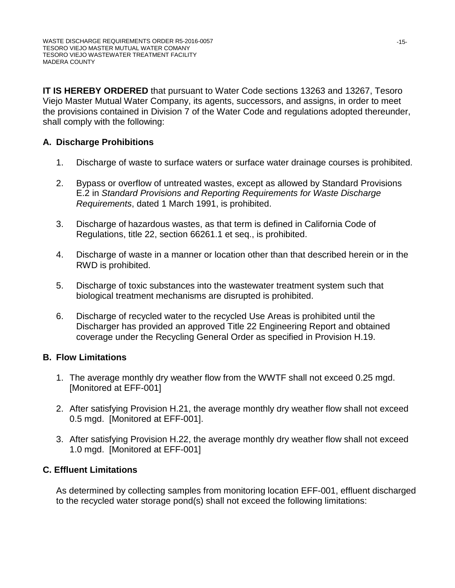**IT IS HEREBY ORDERED** that pursuant to Water Code sections 13263 and 13267, Tesoro Viejo Master Mutual Water Company, its agents, successors, and assigns, in order to meet the provisions contained in Division 7 of the Water Code and regulations adopted thereunder, shall comply with the following:

# **A. Discharge Prohibitions**

- 1. Discharge of waste to surface waters or surface water drainage courses is prohibited.
- 2. Bypass or overflow of untreated wastes, except as allowed by Standard Provisions E.2 in *Standard Provisions and Reporting Requirements for Waste Discharge Requirements*, dated 1 March 1991, is prohibited.
- 3. Discharge of hazardous wastes, as that term is defined in California Code of Regulations, title 22, section 66261.1 et seq., is prohibited.
- 4. Discharge of waste in a manner or location other than that described herein or in the RWD is prohibited.
- 5. Discharge of toxic substances into the wastewater treatment system such that biological treatment mechanisms are disrupted is prohibited.
- 6. Discharge of recycled water to the recycled Use Areas is prohibited until the Discharger has provided an approved Title 22 Engineering Report and obtained coverage under the Recycling General Order as specified in Provision H.19.

### **B. Flow Limitations**

- 1. The average monthly dry weather flow from the WWTF shall not exceed 0.25 mgd. [Monitored at EFF-001]
- 2. After satisfying Provision H.21, the average monthly dry weather flow shall not exceed 0.5 mgd. [Monitored at EFF-001].
- 3. After satisfying Provision H.22, the average monthly dry weather flow shall not exceed 1.0 mgd. [Monitored at EFF-001]

### **C. Effluent Limitations**

As determined by collecting samples from monitoring location EFF-001, effluent discharged to the recycled water storage pond(s) shall not exceed the following limitations: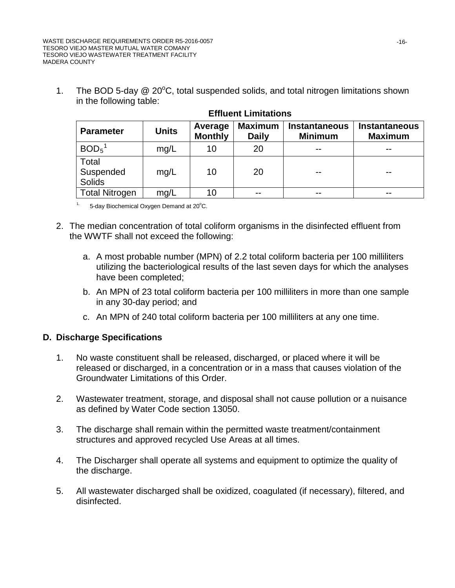1. The BOD 5-day  $@$  20 $^{\circ}$ C, total suspended solids, and total nitrogen limitations shown in the following table:

| <b>Parameter</b>                    | <b>Units</b> | Average<br><b>Monthly</b> | <b>Maximum</b><br><b>Daily</b> | <b>Instantaneous</b><br><b>Minimum</b> | <b>Instantaneous</b><br><b>Maximum</b> |
|-------------------------------------|--------------|---------------------------|--------------------------------|----------------------------------------|----------------------------------------|
| $BOD5$ <sup>1</sup>                 | mg/L         | 10                        | 20                             | $- -$                                  |                                        |
| Total<br>Suspended<br><b>Solids</b> | mq/L         | 10                        | 20                             |                                        |                                        |
| <b>Total Nitrogen</b>               | mg/L         | 10                        |                                |                                        |                                        |

### **Effluent Limitations**

 $1.5$ -day Biochemical Oxygen Demand at 20 $^{\circ}$ C.

- 2. The median concentration of total coliform organisms in the disinfected effluent from the WWTF shall not exceed the following:
	- a. A most probable number (MPN) of 2.2 total coliform bacteria per 100 milliliters utilizing the bacteriological results of the last seven days for which the analyses have been completed;
	- b. An MPN of 23 total coliform bacteria per 100 milliliters in more than one sample in any 30-day period; and
	- c. An MPN of 240 total coliform bacteria per 100 milliliters at any one time.

### **D. Discharge Specifications**

- 1. No waste constituent shall be released, discharged, or placed where it will be released or discharged, in a concentration or in a mass that causes violation of the Groundwater Limitations of this Order.
- 2. Wastewater treatment, storage, and disposal shall not cause pollution or a nuisance as defined by Water Code section 13050.
- 3. The discharge shall remain within the permitted waste treatment/containment structures and approved recycled Use Areas at all times.
- 4. The Discharger shall operate all systems and equipment to optimize the quality of the discharge.
- 5. All wastewater discharged shall be oxidized, coagulated (if necessary), filtered, and disinfected.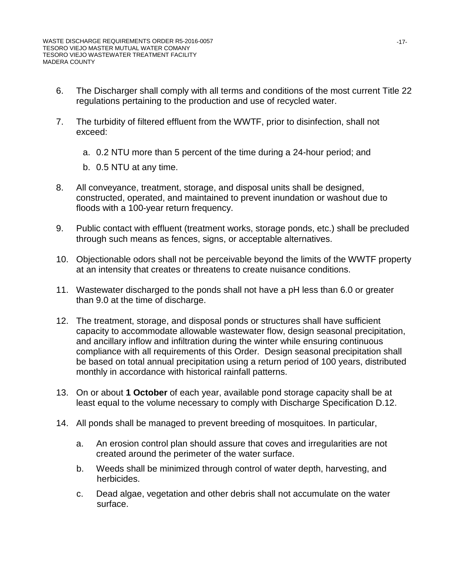- 6. The Discharger shall comply with all terms and conditions of the most current Title 22 regulations pertaining to the production and use of recycled water.
- 7. The turbidity of filtered effluent from the WWTF, prior to disinfection, shall not exceed:
	- a. 0.2 NTU more than 5 percent of the time during a 24-hour period; and
	- b. 0.5 NTU at any time.
- 8. All conveyance, treatment, storage, and disposal units shall be designed, constructed, operated, and maintained to prevent inundation or washout due to floods with a 100-year return frequency.
- 9. Public contact with effluent (treatment works, storage ponds, etc.) shall be precluded through such means as fences, signs, or acceptable alternatives.
- 10. Objectionable odors shall not be perceivable beyond the limits of the WWTF property at an intensity that creates or threatens to create nuisance conditions.
- 11. Wastewater discharged to the ponds shall not have a pH less than 6.0 or greater than 9.0 at the time of discharge.
- 12. The treatment, storage, and disposal ponds or structures shall have sufficient capacity to accommodate allowable wastewater flow, design seasonal precipitation, and ancillary inflow and infiltration during the winter while ensuring continuous compliance with all requirements of this Order. Design seasonal precipitation shall be based on total annual precipitation using a return period of 100 years, distributed monthly in accordance with historical rainfall patterns.
- 13. On or about **1 October** of each year, available pond storage capacity shall be at least equal to the volume necessary to comply with Discharge Specification D.12.
- 14. All ponds shall be managed to prevent breeding of mosquitoes. In particular,
	- a. An erosion control plan should assure that coves and irregularities are not created around the perimeter of the water surface.
	- b. Weeds shall be minimized through control of water depth, harvesting, and herbicides.
	- c. Dead algae, vegetation and other debris shall not accumulate on the water surface.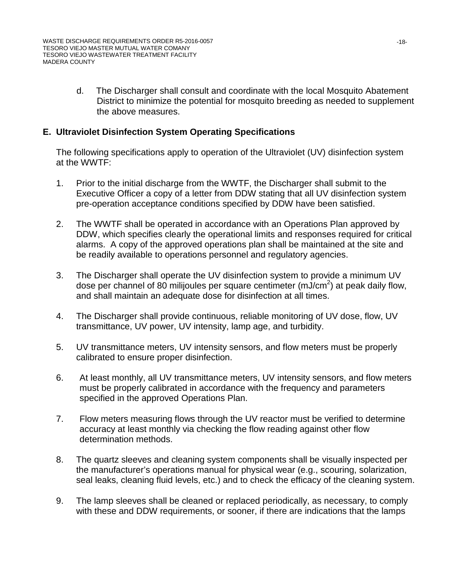d. The Discharger shall consult and coordinate with the local Mosquito Abatement District to minimize the potential for mosquito breeding as needed to supplement the above measures.

### **E. Ultraviolet Disinfection System Operating Specifications**

The following specifications apply to operation of the Ultraviolet (UV) disinfection system at the WWTF:

- 1. Prior to the initial discharge from the WWTF, the Discharger shall submit to the Executive Officer a copy of a letter from DDW stating that all UV disinfection system pre-operation acceptance conditions specified by DDW have been satisfied.
- 2. The WWTF shall be operated in accordance with an Operations Plan approved by DDW, which specifies clearly the operational limits and responses required for critical alarms. A copy of the approved operations plan shall be maintained at the site and be readily available to operations personnel and regulatory agencies.
- 3. The Discharger shall operate the UV disinfection system to provide a minimum UV dose per channel of 80 milijoules per square centimeter (mJ/cm<sup>2</sup>) at peak daily flow, and shall maintain an adequate dose for disinfection at all times.
- 4. The Discharger shall provide continuous, reliable monitoring of UV dose, flow, UV transmittance, UV power, UV intensity, lamp age, and turbidity.
- 5. UV transmittance meters, UV intensity sensors, and flow meters must be properly calibrated to ensure proper disinfection.
- 6. At least monthly, all UV transmittance meters, UV intensity sensors, and flow meters must be properly calibrated in accordance with the frequency and parameters specified in the approved Operations Plan.
- 7. Flow meters measuring flows through the UV reactor must be verified to determine accuracy at least monthly via checking the flow reading against other flow determination methods.
- 8. The quartz sleeves and cleaning system components shall be visually inspected per the manufacturer's operations manual for physical wear (e.g., scouring, solarization, seal leaks, cleaning fluid levels, etc.) and to check the efficacy of the cleaning system.
- 9. The lamp sleeves shall be cleaned or replaced periodically, as necessary, to comply with these and DDW requirements, or sooner, if there are indications that the lamps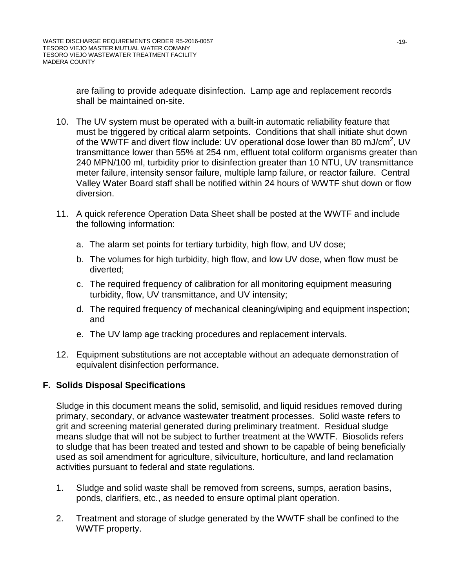are failing to provide adequate disinfection. Lamp age and replacement records shall be maintained on-site.

- 10. The UV system must be operated with a built-in automatic reliability feature that must be triggered by critical alarm setpoints. Conditions that shall initiate shut down of the WWTF and divert flow include: UV operational dose lower than 80 mJ/cm<sup>2</sup>, UV transmittance lower than 55% at 254 nm, effluent total coliform organisms greater than 240 MPN/100 ml, turbidity prior to disinfection greater than 10 NTU, UV transmittance meter failure, intensity sensor failure, multiple lamp failure, or reactor failure. Central Valley Water Board staff shall be notified within 24 hours of WWTF shut down or flow diversion.
- 11. A quick reference Operation Data Sheet shall be posted at the WWTF and include the following information:
	- a. The alarm set points for tertiary turbidity, high flow, and UV dose;
	- b. The volumes for high turbidity, high flow, and low UV dose, when flow must be diverted;
	- c. The required frequency of calibration for all monitoring equipment measuring turbidity, flow, UV transmittance, and UV intensity;
	- d. The required frequency of mechanical cleaning/wiping and equipment inspection; and
	- e. The UV lamp age tracking procedures and replacement intervals.
- 12. Equipment substitutions are not acceptable without an adequate demonstration of equivalent disinfection performance.

### **F. Solids Disposal Specifications**

Sludge in this document means the solid, semisolid, and liquid residues removed during primary, secondary, or advance wastewater treatment processes. Solid waste refers to grit and screening material generated during preliminary treatment. Residual sludge means sludge that will not be subject to further treatment at the WWTF. Biosolids refers to sludge that has been treated and tested and shown to be capable of being beneficially used as soil amendment for agriculture, silviculture, horticulture, and land reclamation activities pursuant to federal and state regulations.

- 1. Sludge and solid waste shall be removed from screens, sumps, aeration basins, ponds, clarifiers, etc., as needed to ensure optimal plant operation.
- 2. Treatment and storage of sludge generated by the WWTF shall be confined to the WWTF property.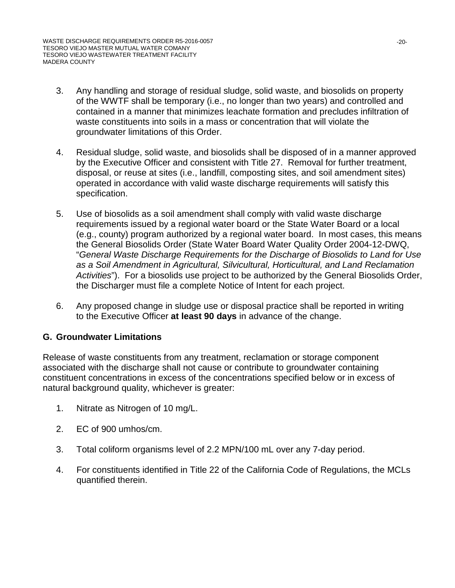- 3. Any handling and storage of residual sludge, solid waste, and biosolids on property of the WWTF shall be temporary (i.e., no longer than two years) and controlled and contained in a manner that minimizes leachate formation and precludes infiltration of waste constituents into soils in a mass or concentration that will violate the groundwater limitations of this Order.
- 4. Residual sludge, solid waste, and biosolids shall be disposed of in a manner approved by the Executive Officer and consistent with Title 27. Removal for further treatment, disposal, or reuse at sites (i.e., landfill, composting sites, and soil amendment sites) operated in accordance with valid waste discharge requirements will satisfy this specification.
- 5. Use of biosolids as a soil amendment shall comply with valid waste discharge requirements issued by a regional water board or the State Water Board or a local (e.g., county) program authorized by a regional water board. In most cases, this means the General Biosolids Order (State Water Board Water Quality Order 2004-12-DWQ, "*General Waste Discharge Requirements for the Discharge of Biosolids to Land for Use as a Soil Amendment in Agricultural, Silvicultural, Horticultural, and Land Reclamation Activities*"). For a biosolids use project to be authorized by the General Biosolids Order, the Discharger must file a complete Notice of Intent for each project.
- 6. Any proposed change in sludge use or disposal practice shall be reported in writing to the Executive Officer **at least 90 days** in advance of the change.

# **G. Groundwater Limitations**

Release of waste constituents from any treatment, reclamation or storage component associated with the discharge shall not cause or contribute to groundwater containing constituent concentrations in excess of the concentrations specified below or in excess of natural background quality, whichever is greater:

- 1. Nitrate as Nitrogen of 10 mg/L.
- 2. EC of 900 umhos/cm.
- 3. Total coliform organisms level of 2.2 MPN/100 mL over any 7-day period.
- 4. For constituents identified in Title 22 of the California Code of Regulations, the MCLs quantified therein.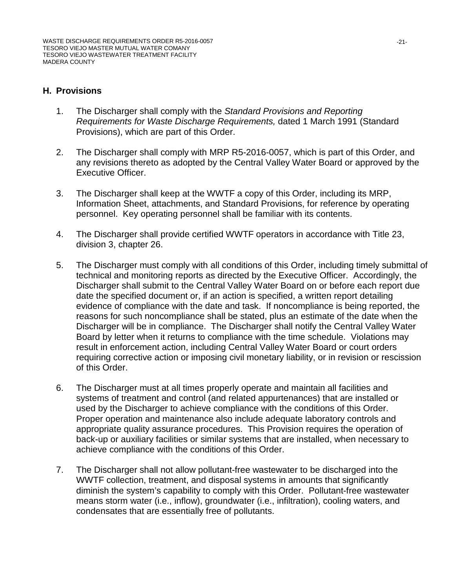### **H. Provisions**

- 1. The Discharger shall comply with the *Standard Provisions and Reporting Requirements for Waste Discharge Requirements,* dated 1 March 1991 (Standard Provisions), which are part of this Order.
- 2. The Discharger shall comply with MRP R5-2016-0057, which is part of this Order, and any revisions thereto as adopted by the Central Valley Water Board or approved by the Executive Officer.
- 3. The Discharger shall keep at the WWTF a copy of this Order, including its MRP, Information Sheet, attachments, and Standard Provisions, for reference by operating personnel. Key operating personnel shall be familiar with its contents.
- 4. The Discharger shall provide certified WWTF operators in accordance with Title 23, division 3, chapter 26.
- 5. The Discharger must comply with all conditions of this Order, including timely submittal of technical and monitoring reports as directed by the Executive Officer. Accordingly, the Discharger shall submit to the Central Valley Water Board on or before each report due date the specified document or, if an action is specified, a written report detailing evidence of compliance with the date and task. If noncompliance is being reported, the reasons for such noncompliance shall be stated, plus an estimate of the date when the Discharger will be in compliance. The Discharger shall notify the Central Valley Water Board by letter when it returns to compliance with the time schedule. Violations may result in enforcement action, including Central Valley Water Board or court orders requiring corrective action or imposing civil monetary liability, or in revision or rescission of this Order.
- 6. The Discharger must at all times properly operate and maintain all facilities and systems of treatment and control (and related appurtenances) that are installed or used by the Discharger to achieve compliance with the conditions of this Order. Proper operation and maintenance also include adequate laboratory controls and appropriate quality assurance procedures. This Provision requires the operation of back-up or auxiliary facilities or similar systems that are installed, when necessary to achieve compliance with the conditions of this Order.
- 7. The Discharger shall not allow pollutant-free wastewater to be discharged into the WWTF collection, treatment, and disposal systems in amounts that significantly diminish the system's capability to comply with this Order. Pollutant-free wastewater means storm water (i.e., inflow), groundwater (i.e., infiltration), cooling waters, and condensates that are essentially free of pollutants.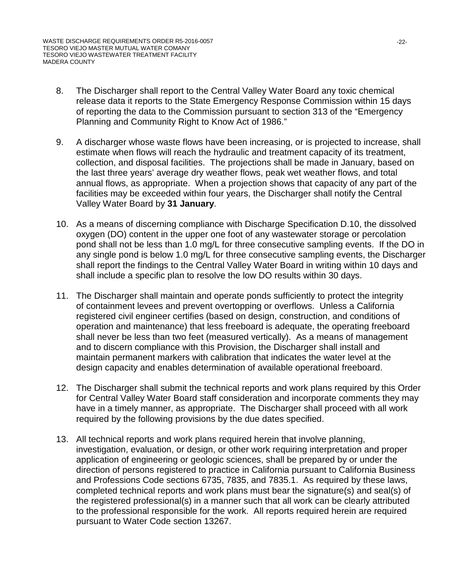- 8. The Discharger shall report to the Central Valley Water Board any toxic chemical release data it reports to the State Emergency Response Commission within 15 days of reporting the data to the Commission pursuant to section 313 of the "Emergency Planning and Community Right to Know Act of 1986."
- 9. A discharger whose waste flows have been increasing, or is projected to increase, shall estimate when flows will reach the hydraulic and treatment capacity of its treatment, collection, and disposal facilities. The projections shall be made in January, based on the last three years' average dry weather flows, peak wet weather flows, and total annual flows, as appropriate. When a projection shows that capacity of any part of the facilities may be exceeded within four years, the Discharger shall notify the Central Valley Water Board by **31 January**.
- 10. As a means of discerning compliance with Discharge Specification D.10, the dissolved oxygen (DO) content in the upper one foot of any wastewater storage or percolation pond shall not be less than 1.0 mg/L for three consecutive sampling events. If the DO in any single pond is below 1.0 mg/L for three consecutive sampling events, the Discharger shall report the findings to the Central Valley Water Board in writing within 10 days and shall include a specific plan to resolve the low DO results within 30 days.
- 11. The Discharger shall maintain and operate ponds sufficiently to protect the integrity of containment levees and prevent overtopping or overflows. Unless a California registered civil engineer certifies (based on design, construction, and conditions of operation and maintenance) that less freeboard is adequate, the operating freeboard shall never be less than two feet (measured vertically). As a means of management and to discern compliance with this Provision, the Discharger shall install and maintain permanent markers with calibration that indicates the water level at the design capacity and enables determination of available operational freeboard.
- 12. The Discharger shall submit the technical reports and work plans required by this Order for Central Valley Water Board staff consideration and incorporate comments they may have in a timely manner, as appropriate. The Discharger shall proceed with all work required by the following provisions by the due dates specified.
- 13. All technical reports and work plans required herein that involve planning, investigation, evaluation, or design, or other work requiring interpretation and proper application of engineering or geologic sciences, shall be prepared by or under the direction of persons registered to practice in California pursuant to California Business and Professions Code sections 6735, 7835, and 7835.1. As required by these laws, completed technical reports and work plans must bear the signature(s) and seal(s) of the registered professional(s) in a manner such that all work can be clearly attributed to the professional responsible for the work. All reports required herein are required pursuant to Water Code section 13267.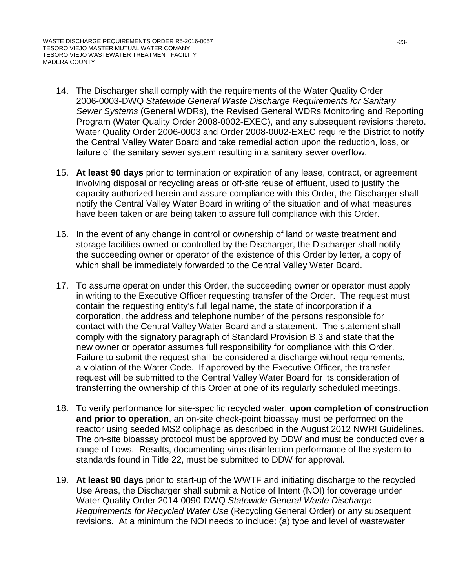- 14. The Discharger shall comply with the requirements of the Water Quality Order 2006-0003-DWQ *Statewide General Waste Discharge Requirements for Sanitary Sewer Systems* (General WDRs), the Revised General WDRs Monitoring and Reporting Program (Water Quality Order 2008-0002-EXEC), and any subsequent revisions thereto. Water Quality Order 2006-0003 and Order 2008-0002-EXEC require the District to notify the Central Valley Water Board and take remedial action upon the reduction, loss, or failure of the sanitary sewer system resulting in a sanitary sewer overflow.
- 15. **At least 90 days** prior to termination or expiration of any lease, contract, or agreement involving disposal or recycling areas or off-site reuse of effluent, used to justify the capacity authorized herein and assure compliance with this Order, the Discharger shall notify the Central Valley Water Board in writing of the situation and of what measures have been taken or are being taken to assure full compliance with this Order.
- 16. In the event of any change in control or ownership of land or waste treatment and storage facilities owned or controlled by the Discharger, the Discharger shall notify the succeeding owner or operator of the existence of this Order by letter, a copy of which shall be immediately forwarded to the Central Valley Water Board.
- 17. To assume operation under this Order, the succeeding owner or operator must apply in writing to the Executive Officer requesting transfer of the Order. The request must contain the requesting entity's full legal name, the state of incorporation if a corporation, the address and telephone number of the persons responsible for contact with the Central Valley Water Board and a statement. The statement shall comply with the signatory paragraph of Standard Provision B.3 and state that the new owner or operator assumes full responsibility for compliance with this Order. Failure to submit the request shall be considered a discharge without requirements, a violation of the Water Code. If approved by the Executive Officer, the transfer request will be submitted to the Central Valley Water Board for its consideration of transferring the ownership of this Order at one of its regularly scheduled meetings.
- 18. To verify performance for site-specific recycled water, **upon completion of construction and prior to operation**, an on-site check-point bioassay must be performed on the reactor using seeded MS2 coliphage as described in the August 2012 NWRI Guidelines. The on-site bioassay protocol must be approved by DDW and must be conducted over a range of flows. Results, documenting virus disinfection performance of the system to standards found in Title 22, must be submitted to DDW for approval.
- 19. **At least 90 days** prior to start-up of the WWTF and initiating discharge to the recycled Use Areas, the Discharger shall submit a Notice of Intent (NOI) for coverage under Water Quality Order 2014-0090-DWQ *Statewide General Waste Discharge Requirements for Recycled Water Use* (Recycling General Order) or any subsequent revisions. At a minimum the NOI needs to include: (a) type and level of wastewater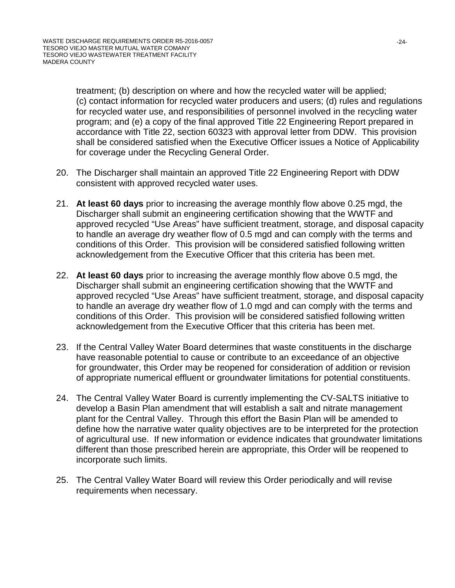treatment; (b) description on where and how the recycled water will be applied; (c) contact information for recycled water producers and users; (d) rules and regulations for recycled water use, and responsibilities of personnel involved in the recycling water program; and (e) a copy of the final approved Title 22 Engineering Report prepared in accordance with Title 22, section 60323 with approval letter from DDW. This provision shall be considered satisfied when the Executive Officer issues a Notice of Applicability for coverage under the Recycling General Order.

- 20. The Discharger shall maintain an approved Title 22 Engineering Report with DDW consistent with approved recycled water uses.
- 21. **At least 60 days** prior to increasing the average monthly flow above 0.25 mgd, the Discharger shall submit an engineering certification showing that the WWTF and approved recycled "Use Areas" have sufficient treatment, storage, and disposal capacity to handle an average dry weather flow of 0.5 mgd and can comply with the terms and conditions of this Order. This provision will be considered satisfied following written acknowledgement from the Executive Officer that this criteria has been met.
- 22. **At least 60 days** prior to increasing the average monthly flow above 0.5 mgd, the Discharger shall submit an engineering certification showing that the WWTF and approved recycled "Use Areas" have sufficient treatment, storage, and disposal capacity to handle an average dry weather flow of 1.0 mgd and can comply with the terms and conditions of this Order. This provision will be considered satisfied following written acknowledgement from the Executive Officer that this criteria has been met.
- 23. If the Central Valley Water Board determines that waste constituents in the discharge have reasonable potential to cause or contribute to an exceedance of an objective for groundwater, this Order may be reopened for consideration of addition or revision of appropriate numerical effluent or groundwater limitations for potential constituents.
- 24. The Central Valley Water Board is currently implementing the CV-SALTS initiative to develop a Basin Plan amendment that will establish a salt and nitrate management plant for the Central Valley. Through this effort the Basin Plan will be amended to define how the narrative water quality objectives are to be interpreted for the protection of agricultural use. If new information or evidence indicates that groundwater limitations different than those prescribed herein are appropriate, this Order will be reopened to incorporate such limits.
- 25. The Central Valley Water Board will review this Order periodically and will revise requirements when necessary.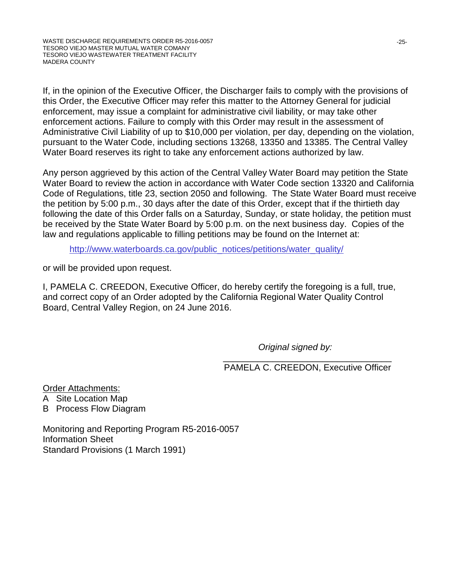If, in the opinion of the Executive Officer, the Discharger fails to comply with the provisions of this Order, the Executive Officer may refer this matter to the Attorney General for judicial enforcement, may issue a complaint for administrative civil liability, or may take other enforcement actions. Failure to comply with this Order may result in the assessment of Administrative Civil Liability of up to \$10,000 per violation, per day, depending on the violation, pursuant to the Water Code, including sections 13268, 13350 and 13385. The Central Valley Water Board reserves its right to take any enforcement actions authorized by law.

Any person aggrieved by this action of the Central Valley Water Board may petition the State Water Board to review the action in accordance with Water Code section 13320 and California Code of Regulations, title 23, section 2050 and following. The State Water Board must receive the petition by 5:00 p.m., 30 days after the date of this Order, except that if the thirtieth day following the date of this Order falls on a Saturday, Sunday, or state holiday, the petition must be received by the State Water Board by 5:00 p.m. on the next business day. Copies of the law and regulations applicable to filling petitions may be found on the Internet at:

[http://www.waterboards.ca.gov/public\\_notices/petitions/water\\_quality/](http://www.waterboards.ca.gov/public_notices/petitions/water_quality/)

or will be provided upon request.

I, PAMELA C. CREEDON, Executive Officer, do hereby certify the foregoing is a full, true, and correct copy of an Order adopted by the California Regional Water Quality Control Board, Central Valley Region, on 24 June 2016.

*Original signed by:*

 $\frac{1}{\sqrt{2}}$  ,  $\frac{1}{\sqrt{2}}$  ,  $\frac{1}{\sqrt{2}}$  ,  $\frac{1}{\sqrt{2}}$  ,  $\frac{1}{\sqrt{2}}$  ,  $\frac{1}{\sqrt{2}}$  ,  $\frac{1}{\sqrt{2}}$  ,  $\frac{1}{\sqrt{2}}$  ,  $\frac{1}{\sqrt{2}}$  ,  $\frac{1}{\sqrt{2}}$  ,  $\frac{1}{\sqrt{2}}$  ,  $\frac{1}{\sqrt{2}}$  ,  $\frac{1}{\sqrt{2}}$  ,  $\frac{1}{\sqrt{2}}$  ,  $\frac{1}{\sqrt{2}}$ PAMELA C. CREEDON, Executive Officer

Order Attachments:

- A Site Location Map
- B Process Flow Diagram

Monitoring and Reporting Program R5-2016-0057 Information Sheet Standard Provisions (1 March 1991)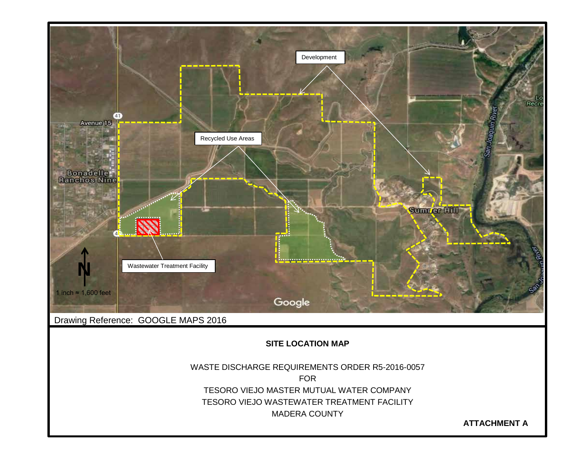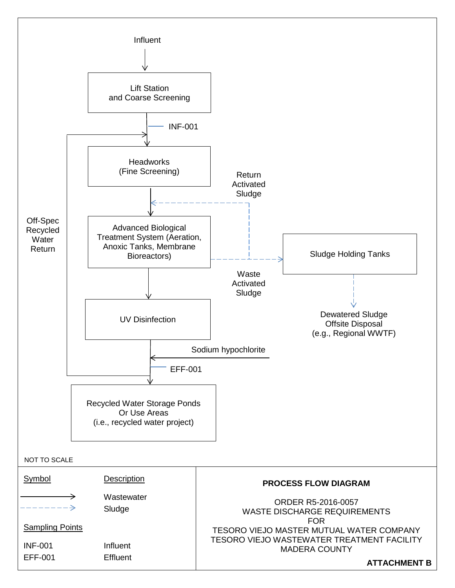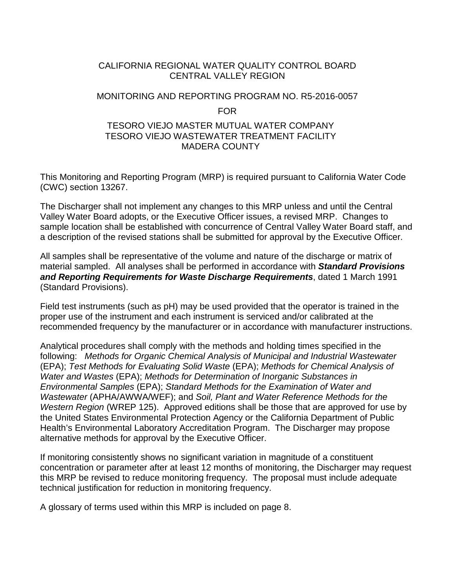### CALIFORNIA REGIONAL WATER QUALITY CONTROL BOARD CENTRAL VALLEY REGION

### MONITORING AND REPORTING PROGRAM NO. R5-2016-0057

#### FOR

#### TESORO VIEJO MASTER MUTUAL WATER COMPANY TESORO VIEJO WASTEWATER TREATMENT FACILITY MADERA COUNTY

This Monitoring and Reporting Program (MRP) is required pursuant to California Water Code (CWC) section 13267.

The Discharger shall not implement any changes to this MRP unless and until the Central Valley Water Board adopts, or the Executive Officer issues, a revised MRP. Changes to sample location shall be established with concurrence of Central Valley Water Board staff, and a description of the revised stations shall be submitted for approval by the Executive Officer.

All samples shall be representative of the volume and nature of the discharge or matrix of material sampled. All analyses shall be performed in accordance with *Standard Provisions and Reporting Requirements for Waste Discharge Requirements*, dated 1 March 1991 (Standard Provisions).

Field test instruments (such as pH) may be used provided that the operator is trained in the proper use of the instrument and each instrument is serviced and/or calibrated at the recommended frequency by the manufacturer or in accordance with manufacturer instructions.

Analytical procedures shall comply with the methods and holding times specified in the following: *Methods for Organic Chemical Analysis of Municipal and Industrial Wastewater* (EPA); *Test Methods for Evaluating Solid Waste* (EPA); *Methods for Chemical Analysis of Water and Wastes* (EPA); *Methods for Determination of Inorganic Substances in Environmental Samples* (EPA); *Standard Methods for the Examination of Water and Wastewater* (APHA/AWWA/WEF); and *Soil, Plant and Water Reference Methods for the Western Region* (WREP 125). Approved editions shall be those that are approved for use by the United States Environmental Protection Agency or the California Department of Public Health's Environmental Laboratory Accreditation Program. The Discharger may propose alternative methods for approval by the Executive Officer.

If monitoring consistently shows no significant variation in magnitude of a constituent concentration or parameter after at least 12 months of monitoring, the Discharger may request this MRP be revised to reduce monitoring frequency. The proposal must include adequate technical justification for reduction in monitoring frequency.

A glossary of terms used within this MRP is included on page 8.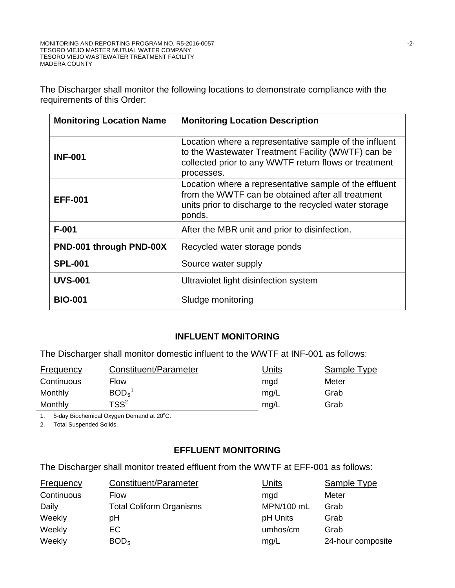The Discharger shall monitor the following locations to demonstrate compliance with the requirements of this Order:

| <b>Monitoring Location Name</b> | <b>Monitoring Location Description</b>                                                                                                                                              |
|---------------------------------|-------------------------------------------------------------------------------------------------------------------------------------------------------------------------------------|
| <b>INF-001</b>                  | Location where a representative sample of the influent<br>to the Wastewater Treatment Facility (WWTF) can be<br>collected prior to any WWTF return flows or treatment<br>processes. |
| <b>EFF-001</b>                  | Location where a representative sample of the effluent<br>from the WWTF can be obtained after all treatment<br>units prior to discharge to the recycled water storage<br>ponds.     |
| $F-001$                         | After the MBR unit and prior to disinfection.                                                                                                                                       |
| PND-001 through PND-00X         | Recycled water storage ponds                                                                                                                                                        |
| <b>SPL-001</b>                  | Source water supply                                                                                                                                                                 |
| <b>UVS-001</b>                  | Ultraviolet light disinfection system                                                                                                                                               |
| <b>BIO-001</b>                  | Sludge monitoring                                                                                                                                                                   |

### **INFLUENT MONITORING**

The Discharger shall monitor domestic influent to the WWTF at INF-001 as follows:

| <b>Frequency</b> | Constituent/Parameter         | <b>Jnits</b> | Sample Type |
|------------------|-------------------------------|--------------|-------------|
| Continuous       | Flow                          | mad          | Meter       |
| Monthly          | BOD <sub>5</sub> <sup>1</sup> | mg/L         | Grab        |
| Monthly          | $TSS^2$                       | mg/L         | Grab        |

1. 5-day Biochemical Oxygen Demand at 20°C.

2. Total Suspended Solids.

### **EFFLUENT MONITORING**

The Discharger shall monitor treated effluent from the WWTF at EFF-001 as follows:

| Frequency  | Constituent/Parameter           | Units      | Sample Type       |
|------------|---------------------------------|------------|-------------------|
| Continuous | <b>Flow</b>                     | mgd        | Meter             |
| Daily      | <b>Total Coliform Organisms</b> | MPN/100 mL | Grab              |
| Weekly     | рH                              | pH Units   | Grab              |
| Weekly     | EC                              | umhos/cm   | Grab              |
| Weekly     | BOD <sub>5</sub>                | mg/L       | 24-hour composite |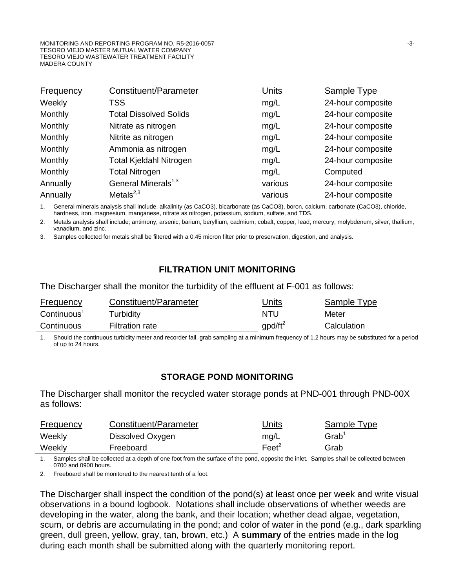| <b>Frequency</b> | Constituent/Parameter           | Units   | <b>Sample Type</b> |
|------------------|---------------------------------|---------|--------------------|
| Weekly           | <b>TSS</b>                      | mg/L    | 24-hour composite  |
| Monthly          | <b>Total Dissolved Solids</b>   | mg/L    | 24-hour composite  |
| Monthly          | Nitrate as nitrogen             | mg/L    | 24-hour composite  |
| Monthly          | Nitrite as nitrogen             | mg/L    | 24-hour composite  |
| Monthly          | Ammonia as nitrogen             | mg/L    | 24-hour composite  |
| Monthly          | Total Kjeldahl Nitrogen         | mg/L    | 24-hour composite  |
| Monthly          | <b>Total Nitrogen</b>           | mg/L    | Computed           |
| Annually         | General Minerals <sup>1,3</sup> | various | 24-hour composite  |
| Annually         | Metals $^{2,3}$                 | various | 24-hour composite  |

1. General minerals analysis shall include, alkalinity (as CaCO3), bicarbonate (as CaCO3), boron, calcium, carbonate (CaCO3), chloride, hardness, iron, magnesium, manganese, nitrate as nitrogen, potassium, sodium, sulfate, and TDS.

2. Metals analysis shall include; antimony, arsenic, barium, beryllium, cadmium, cobalt, copper, lead, mercury, molybdenum, silver, thallium, vanadium, and zinc.

3. Samples collected for metals shall be filtered with a 0.45 micron filter prior to preservation, digestion, and analysis.

### **FILTRATION UNIT MONITORING**

The Discharger shall the monitor the turbidity of the effluent at F-001 as follows:

| <b>Frequency</b>        | Constituent/Parameter  | Jnits      | Sample Type |
|-------------------------|------------------------|------------|-------------|
| Continuous <sup>1</sup> | Turbidity              | NTU        | Meter       |
| Continuous              | <b>Filtration rate</b> | $qpd/ft^2$ | Calculation |

1. Should the continuous turbidity meter and recorder fail, grab sampling at a minimum frequency of 1.2 hours may be substituted for a period of up to 24 hours.

#### **STORAGE POND MONITORING**

The Discharger shall monitor the recycled water storage ponds at PND-001 through PND-00X as follows:

| <b>Frequency</b> | Constituent/Parameter | <u>Units</u>    | Sample Type       |
|------------------|-----------------------|-----------------|-------------------|
| Weekly           | Dissolved Oxygen      | mg/L            | Grab <sup>1</sup> |
| Weekly           | Freeboard             | $\text{Feet}^2$ | Grab              |

1. Samples shall be collected at a depth of one foot from the surface of the pond, opposite the inlet. Samples shall be collected between 0700 and 0900 hours.

2. Freeboard shall be monitored to the nearest tenth of a foot.

The Discharger shall inspect the condition of the pond(s) at least once per week and write visual observations in a bound logbook. Notations shall include observations of whether weeds are developing in the water, along the bank, and their location; whether dead algae, vegetation, scum, or debris are accumulating in the pond; and color of water in the pond (e.g., dark sparkling green, dull green, yellow, gray, tan, brown, etc.) A **summary** of the entries made in the log during each month shall be submitted along with the quarterly monitoring report.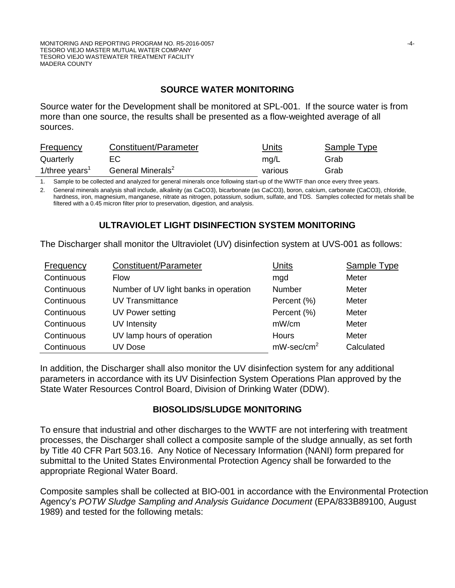### **SOURCE WATER MONITORING**

Source water for the Development shall be monitored at SPL-001. If the source water is from more than one source, the results shall be presented as a flow-weighted average of all sources.

| <b>Frequency</b>              | Constituent/Parameter         | Units   | Sample Type |
|-------------------------------|-------------------------------|---------|-------------|
| Quarterly                     | EC.                           | mg/L    | Grab        |
| 1/three years $^{\mathrm{"}}$ | General Minerals <sup>2</sup> | various | Grab        |

1. Sample to be collected and analyzed for general minerals once following start-up of the WWTF than once every three years.

2. General minerals analysis shall include, alkalinity (as CaCO3), bicarbonate (as CaCO3), boron, calcium, carbonate (CaCO3), chloride, hardness, iron, magnesium, manganese, nitrate as nitrogen, potassium, sodium, sulfate, and TDS. Samples collected for metals shall be filtered with a 0.45 micron filter prior to preservation, digestion, and analysis.

# **ULTRAVIOLET LIGHT DISINFECTION SYSTEM MONITORING**

The Discharger shall monitor the Ultraviolet (UV) disinfection system at UVS-001 as follows:

| Frequency  | Constituent/Parameter                 | <b>Units</b>              | Sample Type |
|------------|---------------------------------------|---------------------------|-------------|
| Continuous | Flow                                  | mgd                       | Meter       |
| Continuous | Number of UV light banks in operation | <b>Number</b>             | Meter       |
| Continuous | <b>UV Transmittance</b>               | Percent (%)               | Meter       |
| Continuous | UV Power setting                      | Percent (%)               | Meter       |
| Continuous | <b>UV Intensity</b>                   | mW/cm                     | Meter       |
| Continuous | UV lamp hours of operation            | <b>Hours</b>              | Meter       |
| Continuous | UV Dose                               | $mW$ -sec/cm <sup>2</sup> | Calculated  |

In addition, the Discharger shall also monitor the UV disinfection system for any additional parameters in accordance with its UV Disinfection System Operations Plan approved by the State Water Resources Control Board, Division of Drinking Water (DDW).

### **BIOSOLIDS/SLUDGE MONITORING**

To ensure that industrial and other discharges to the WWTF are not interfering with treatment processes, the Discharger shall collect a composite sample of the sludge annually, as set forth by Title 40 CFR Part 503.16. Any Notice of Necessary Information (NANI) form prepared for submittal to the United States Environmental Protection Agency shall be forwarded to the appropriate Regional Water Board.

Composite samples shall be collected at BIO-001 in accordance with the Environmental Protection Agency's *POTW Sludge Sampling and Analysis Guidance Document* (EPA/833B89100, August 1989) and tested for the following metals: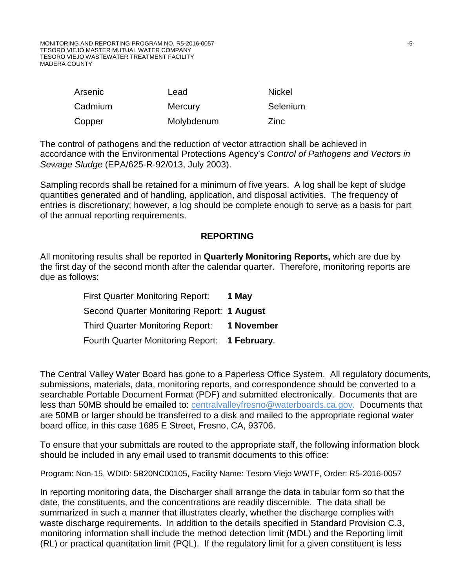MONITORING AND REPORTING PROGRAM NO. R5-2016-0057 **FOLLOWING A SET AND REPORT OF A SET AND REPORTING PROGRAM NO.** TESORO VIEJO MASTER MUTUAL WATER COMPANY TESORO VIEJO WASTEWATER TREATMENT FACILITY MADERA COUNTY

| Arsenic | Lead           | <b>Nickel</b> |
|---------|----------------|---------------|
| Cadmium | <b>Mercury</b> | Selenium      |
| Copper  | Molybdenum     | Zinc          |

The control of pathogens and the reduction of vector attraction shall be achieved in accordance with the Environmental Protections Agency's *Control of Pathogens and Vectors in Sewage Sludge* (EPA/625-R-92/013, July 2003).

Sampling records shall be retained for a minimum of five years. A log shall be kept of sludge quantities generated and of handling, application, and disposal activities. The frequency of entries is discretionary; however, a log should be complete enough to serve as a basis for part of the annual reporting requirements.

#### **REPORTING**

All monitoring results shall be reported in **Quarterly Monitoring Reports,** which are due by the first day of the second month after the calendar quarter. Therefore, monitoring reports are due as follows:

| <b>First Quarter Monitoring Report:</b>       | 1 May      |
|-----------------------------------------------|------------|
| Second Quarter Monitoring Report: 1 August    |            |
| <b>Third Quarter Monitoring Report:</b>       | 1 November |
| Fourth Quarter Monitoring Report: 1 February. |            |

The Central Valley Water Board has gone to a Paperless Office System. All regulatory documents, submissions, materials, data, monitoring reports, and correspondence should be converted to a searchable Portable Document Format (PDF) and submitted electronically. Documents that are less than 50MB should be emailed to: centralvalleyfresno@waterboards.ca.gov. Documents that are 50MB or larger should be transferred to a disk and mailed to the appropriate regional water board office, in this case 1685 E Street, Fresno, CA, 93706.

To ensure that your submittals are routed to the appropriate staff, the following information block should be included in any email used to transmit documents to this office:

Program: Non-15, WDID: 5B20NC00105, Facility Name: Tesoro Viejo WWTF, Order: R5-2016-0057

In reporting monitoring data, the Discharger shall arrange the data in tabular form so that the date, the constituents, and the concentrations are readily discernible. The data shall be summarized in such a manner that illustrates clearly, whether the discharge complies with waste discharge requirements. In addition to the details specified in Standard Provision C.3, monitoring information shall include the method detection limit (MDL) and the Reporting limit (RL) or practical quantitation limit (PQL). If the regulatory limit for a given constituent is less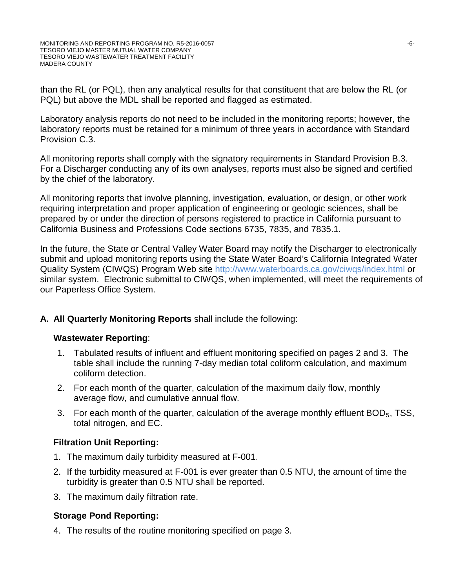than the RL (or PQL), then any analytical results for that constituent that are below the RL (or PQL) but above the MDL shall be reported and flagged as estimated.

Laboratory analysis reports do not need to be included in the monitoring reports; however, the laboratory reports must be retained for a minimum of three years in accordance with Standard Provision C.3.

All monitoring reports shall comply with the signatory requirements in Standard Provision B.3. For a Discharger conducting any of its own analyses, reports must also be signed and certified by the chief of the laboratory.

All monitoring reports that involve planning, investigation, evaluation, or design, or other work requiring interpretation and proper application of engineering or geologic sciences, shall be prepared by or under the direction of persons registered to practice in California pursuant to California Business and Professions Code sections 6735, 7835, and 7835.1.

In the future, the State or Central Valley Water Board may notify the Discharger to electronically submit and upload monitoring reports using the State Water Board's California Integrated Water Quality System (CIWQS) Program Web site http://www.waterboards.ca.gov/ciwqs/index.html or similar system. Electronic submittal to CIWQS, when implemented, will meet the requirements of our Paperless Office System.

### **A. All Quarterly Monitoring Reports** shall include the following:

### **Wastewater Reporting**:

- 1. Tabulated results of influent and effluent monitoring specified on pages 2 and 3. The table shall include the running 7-day median total coliform calculation, and maximum coliform detection.
- 2. For each month of the quarter, calculation of the maximum daily flow, monthly average flow, and cumulative annual flow.
- 3. For each month of the quarter, calculation of the average monthly effluent  $BOD<sub>5</sub>$ , TSS, total nitrogen, and EC.

### **Filtration Unit Reporting:**

- 1. The maximum daily turbidity measured at F-001.
- 2. If the turbidity measured at F-001 is ever greater than 0.5 NTU, the amount of time the turbidity is greater than 0.5 NTU shall be reported.
- 3. The maximum daily filtration rate.

### **Storage Pond Reporting:**

4. The results of the routine monitoring specified on page 3.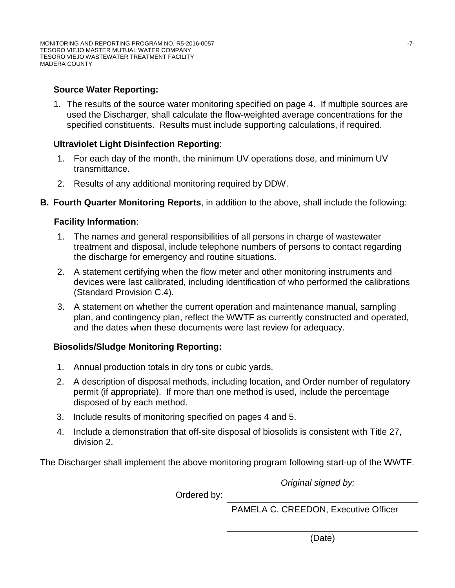### **Source Water Reporting:**

1. The results of the source water monitoring specified on page 4. If multiple sources are used the Discharger, shall calculate the flow-weighted average concentrations for the specified constituents. Results must include supporting calculations, if required.

### **Ultraviolet Light Disinfection Reporting**:

- 1. For each day of the month, the minimum UV operations dose, and minimum UV transmittance.
- 2. Results of any additional monitoring required by DDW.
- **B. Fourth Quarter Monitoring Reports**, in addition to the above, shall include the following:

### **Facility Information**:

- 1. The names and general responsibilities of all persons in charge of wastewater treatment and disposal, include telephone numbers of persons to contact regarding the discharge for emergency and routine situations.
- 2. A statement certifying when the flow meter and other monitoring instruments and devices were last calibrated, including identification of who performed the calibrations (Standard Provision C.4).
- 3. A statement on whether the current operation and maintenance manual, sampling plan, and contingency plan, reflect the WWTF as currently constructed and operated, and the dates when these documents were last review for adequacy.

### **Biosolids/Sludge Monitoring Reporting:**

- 1. Annual production totals in dry tons or cubic yards.
- 2. A description of disposal methods, including location, and Order number of regulatory permit (if appropriate). If more than one method is used, include the percentage disposed of by each method.
- 3. Include results of monitoring specified on pages 4 and 5.
- 4. Include a demonstration that off-site disposal of biosolids is consistent with Title 27, division 2.

The Discharger shall implement the above monitoring program following start-up of the WWTF.

*Original signed by:*

Ordered by:

PAMELA C. CREEDON, Executive Officer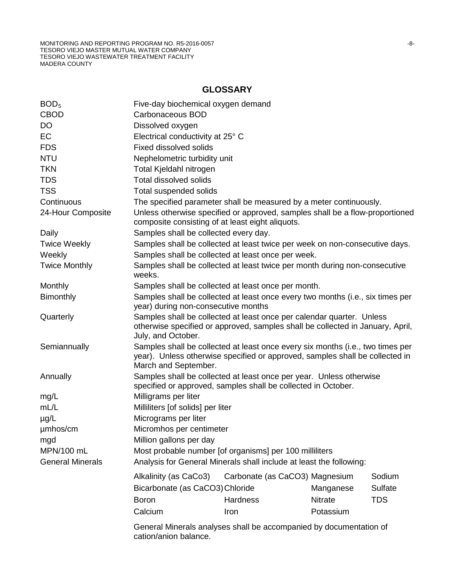MONITORING AND REPORTING PROGRAM NO. R5-2016-0057 -8- TESORO VIEJO MASTER MUTUAL WATER COMPANY TESORO VIEJO WASTEWATER TREATMENT FACILITY MADERA COUNTY

### **GLOSSARY**

| BOD <sub>5</sub>        | Five-day biochemical oxygen demand                                                                                                                                                     |                                |                |            |
|-------------------------|----------------------------------------------------------------------------------------------------------------------------------------------------------------------------------------|--------------------------------|----------------|------------|
| <b>CBOD</b>             | Carbonaceous BOD                                                                                                                                                                       |                                |                |            |
| <b>DO</b>               | Dissolved oxygen                                                                                                                                                                       |                                |                |            |
| <b>EC</b>               | Electrical conductivity at 25° C                                                                                                                                                       |                                |                |            |
| <b>FDS</b>              | <b>Fixed dissolved solids</b>                                                                                                                                                          |                                |                |            |
| <b>NTU</b>              | Nephelometric turbidity unit                                                                                                                                                           |                                |                |            |
| <b>TKN</b>              | Total Kjeldahl nitrogen                                                                                                                                                                |                                |                |            |
| <b>TDS</b>              | <b>Total dissolved solids</b>                                                                                                                                                          |                                |                |            |
| <b>TSS</b>              | Total suspended solids                                                                                                                                                                 |                                |                |            |
| Continuous              | The specified parameter shall be measured by a meter continuously.                                                                                                                     |                                |                |            |
| 24-Hour Composite       | Unless otherwise specified or approved, samples shall be a flow-proportioned<br>composite consisting of at least eight aliquots.                                                       |                                |                |            |
| Daily                   | Samples shall be collected every day.                                                                                                                                                  |                                |                |            |
| <b>Twice Weekly</b>     | Samples shall be collected at least twice per week on non-consecutive days.                                                                                                            |                                |                |            |
| Weekly                  | Samples shall be collected at least once per week.                                                                                                                                     |                                |                |            |
| <b>Twice Monthly</b>    | Samples shall be collected at least twice per month during non-consecutive<br>weeks.                                                                                                   |                                |                |            |
| Monthly                 | Samples shall be collected at least once per month.                                                                                                                                    |                                |                |            |
| <b>Bimonthly</b>        | Samples shall be collected at least once every two months (i.e., six times per<br>year) during non-consecutive months                                                                  |                                |                |            |
| Quarterly               | Samples shall be collected at least once per calendar quarter. Unless<br>otherwise specified or approved, samples shall be collected in January, April,<br>July, and October.          |                                |                |            |
| Semiannually            | Samples shall be collected at least once every six months (i.e., two times per<br>year). Unless otherwise specified or approved, samples shall be collected in<br>March and September. |                                |                |            |
| Annually                | Samples shall be collected at least once per year. Unless otherwise<br>specified or approved, samples shall be collected in October.                                                   |                                |                |            |
| mg/L                    | Milligrams per liter                                                                                                                                                                   |                                |                |            |
| mL/L                    | Milliliters [of solids] per liter                                                                                                                                                      |                                |                |            |
| $\mu$ g/L               | Micrograms per liter                                                                                                                                                                   |                                |                |            |
| µmhos/cm                | Micromhos per centimeter                                                                                                                                                               |                                |                |            |
| mgd                     | Million gallons per day                                                                                                                                                                |                                |                |            |
| MPN/100 mL              | Most probable number [of organisms] per 100 milliliters                                                                                                                                |                                |                |            |
| <b>General Minerals</b> | Analysis for General Minerals shall include at least the following:                                                                                                                    |                                |                |            |
|                         | Alkalinity (as CaCo3)                                                                                                                                                                  | Carbonate (as CaCO3) Magnesium |                | Sodium     |
|                         | Bicarbonate (as CaCO3) Chloride                                                                                                                                                        |                                | Manganese      | Sulfate    |
|                         | <b>Boron</b>                                                                                                                                                                           | <b>Hardness</b>                | <b>Nitrate</b> | <b>TDS</b> |
|                         | Calcium                                                                                                                                                                                | Iron                           | Potassium      |            |
|                         |                                                                                                                                                                                        |                                |                |            |
|                         | General Minerals analyses shall be accompanied by documentation of<br>cation/anion balance.                                                                                            |                                |                |            |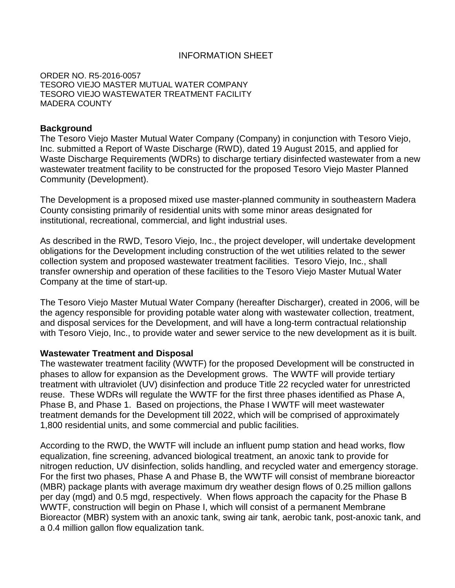### INFORMATION SHEET

ORDER NO. R5-2016-0057 TESORO VIEJO MASTER MUTUAL WATER COMPANY TESORO VIEJO WASTEWATER TREATMENT FACILITY MADERA COUNTY

#### **Background**

The Tesoro Viejo Master Mutual Water Company (Company) in conjunction with Tesoro Viejo, Inc. submitted a Report of Waste Discharge (RWD), dated 19 August 2015, and applied for Waste Discharge Requirements (WDRs) to discharge tertiary disinfected wastewater from a new wastewater treatment facility to be constructed for the proposed Tesoro Viejo Master Planned Community (Development).

The Development is a proposed mixed use master-planned community in southeastern Madera County consisting primarily of residential units with some minor areas designated for institutional, recreational, commercial, and light industrial uses.

As described in the RWD, Tesoro Viejo, Inc., the project developer, will undertake development obligations for the Development including construction of the wet utilities related to the sewer collection system and proposed wastewater treatment facilities. Tesoro Viejo, Inc., shall transfer ownership and operation of these facilities to the Tesoro Viejo Master Mutual Water Company at the time of start-up.

The Tesoro Viejo Master Mutual Water Company (hereafter Discharger), created in 2006, will be the agency responsible for providing potable water along with wastewater collection, treatment, and disposal services for the Development, and will have a long-term contractual relationship with Tesoro Viejo, Inc., to provide water and sewer service to the new development as it is built.

#### **Wastewater Treatment and Disposal**

The wastewater treatment facility (WWTF) for the proposed Development will be constructed in phases to allow for expansion as the Development grows. The WWTF will provide tertiary treatment with ultraviolet (UV) disinfection and produce Title 22 recycled water for unrestricted reuse. These WDRs will regulate the WWTF for the first three phases identified as Phase A, Phase B, and Phase 1. Based on projections, the Phase I WWTF will meet wastewater treatment demands for the Development till 2022, which will be comprised of approximately 1,800 residential units, and some commercial and public facilities.

According to the RWD, the WWTF will include an influent pump station and head works, flow equalization, fine screening, advanced biological treatment, an anoxic tank to provide for nitrogen reduction, UV disinfection, solids handling, and recycled water and emergency storage. For the first two phases, Phase A and Phase B, the WWTF will consist of membrane bioreactor (MBR) package plants with average maximum dry weather design flows of 0.25 million gallons per day (mgd) and 0.5 mgd, respectively. When flows approach the capacity for the Phase B WWTF, construction will begin on Phase I, which will consist of a permanent Membrane Bioreactor (MBR) system with an anoxic tank, swing air tank, aerobic tank, post-anoxic tank, and a 0.4 million gallon flow equalization tank.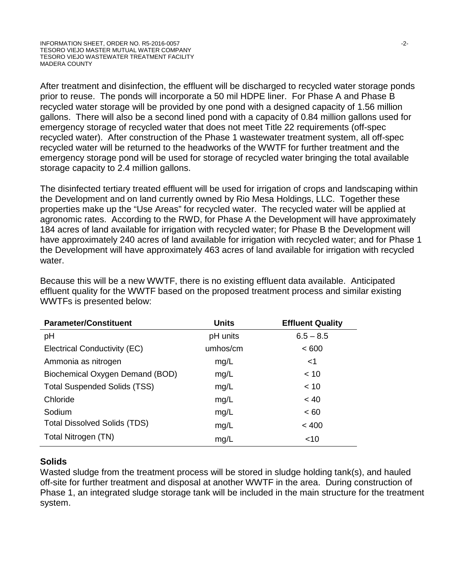After treatment and disinfection, the effluent will be discharged to recycled water storage ponds prior to reuse. The ponds will incorporate a 50 mil HDPE liner. For Phase A and Phase B recycled water storage will be provided by one pond with a designed capacity of 1.56 million gallons. There will also be a second lined pond with a capacity of 0.84 million gallons used for emergency storage of recycled water that does not meet Title 22 requirements (off-spec recycled water). After construction of the Phase 1 wastewater treatment system, all off-spec recycled water will be returned to the headworks of the WWTF for further treatment and the emergency storage pond will be used for storage of recycled water bringing the total available storage capacity to 2.4 million gallons.

The disinfected tertiary treated effluent will be used for irrigation of crops and landscaping within the Development and on land currently owned by Rio Mesa Holdings, LLC. Together these properties make up the "Use Areas" for recycled water. The recycled water will be applied at agronomic rates. According to the RWD, for Phase A the Development will have approximately 184 acres of land available for irrigation with recycled water; for Phase B the Development will have approximately 240 acres of land available for irrigation with recycled water; and for Phase 1 the Development will have approximately 463 acres of land available for irrigation with recycled water.

Because this will be a new WWTF, there is no existing effluent data available. Anticipated effluent quality for the WWTF based on the proposed treatment process and similar existing WWTFs is presented below:

| <b>Parameter/Constituent</b>        | <b>Units</b> | <b>Effluent Quality</b> |
|-------------------------------------|--------------|-------------------------|
| pH                                  | pH units     | $6.5 - 8.5$             |
| Electrical Conductivity (EC)        | umhos/cm     | < 600                   |
| Ammonia as nitrogen                 | mg/L         | $<$ 1                   |
| Biochemical Oxygen Demand (BOD)     | mg/L         | ~< 10                   |
| <b>Total Suspended Solids (TSS)</b> | mg/L         | < 10                    |
| Chloride                            | mg/L         | ~< 40                   |
| Sodium                              | mg/L         | < 60                    |
| <b>Total Dissolved Solids (TDS)</b> | mg/L         | < 400                   |
| Total Nitrogen (TN)                 | mg/L         | ~10                     |

### **Solids**

Wasted sludge from the treatment process will be stored in sludge holding tank(s), and hauled off-site for further treatment and disposal at another WWTF in the area. During construction of Phase 1, an integrated sludge storage tank will be included in the main structure for the treatment system.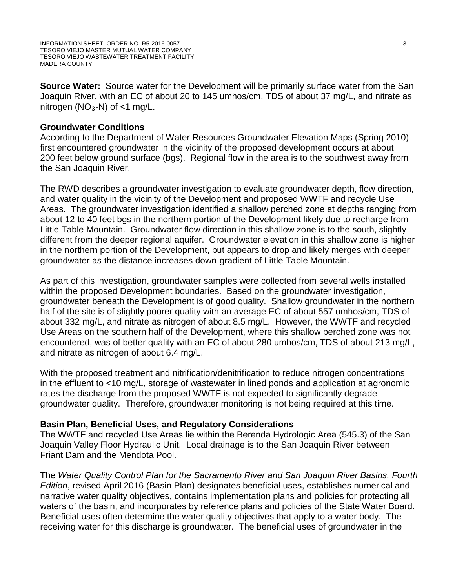**Source Water:** Source water for the Development will be primarily surface water from the San Joaquin River, with an EC of about 20 to 145 umhos/cm, TDS of about 37 mg/L, and nitrate as nitrogen ( $NO<sub>3</sub>$ -N) of <1 mg/L.

### **Groundwater Conditions**

According to the Department of Water Resources Groundwater Elevation Maps (Spring 2010) first encountered groundwater in the vicinity of the proposed development occurs at about 200 feet below ground surface (bgs). Regional flow in the area is to the southwest away from the San Joaquin River.

The RWD describes a groundwater investigation to evaluate groundwater depth, flow direction, and water quality in the vicinity of the Development and proposed WWTF and recycle Use Areas. The groundwater investigation identified a shallow perched zone at depths ranging from about 12 to 40 feet bgs in the northern portion of the Development likely due to recharge from Little Table Mountain. Groundwater flow direction in this shallow zone is to the south, slightly different from the deeper regional aquifer. Groundwater elevation in this shallow zone is higher in the northern portion of the Development, but appears to drop and likely merges with deeper groundwater as the distance increases down-gradient of Little Table Mountain.

As part of this investigation, groundwater samples were collected from several wells installed within the proposed Development boundaries. Based on the groundwater investigation, groundwater beneath the Development is of good quality. Shallow groundwater in the northern half of the site is of slightly poorer quality with an average EC of about 557 umhos/cm, TDS of about 332 mg/L, and nitrate as nitrogen of about 8.5 mg/L. However, the WWTF and recycled Use Areas on the southern half of the Development, where this shallow perched zone was not encountered, was of better quality with an EC of about 280 umhos/cm, TDS of about 213 mg/L, and nitrate as nitrogen of about 6.4 mg/L.

With the proposed treatment and nitrification/denitrification to reduce nitrogen concentrations in the effluent to <10 mg/L, storage of wastewater in lined ponds and application at agronomic rates the discharge from the proposed WWTF is not expected to significantly degrade groundwater quality. Therefore, groundwater monitoring is not being required at this time.

#### **Basin Plan, Beneficial Uses, and Regulatory Considerations**

The WWTF and recycled Use Areas lie within the Berenda Hydrologic Area (545.3) of the San Joaquin Valley Floor Hydraulic Unit. Local drainage is to the San Joaquin River between Friant Dam and the Mendota Pool.

The *Water Quality Control Plan for the Sacramento River and San Joaquin River Basins, Fourth Edition*, revised April 2016 (Basin Plan) designates beneficial uses, establishes numerical and narrative water quality objectives, contains implementation plans and policies for protecting all waters of the basin, and incorporates by reference plans and policies of the State Water Board. Beneficial uses often determine the water quality objectives that apply to a water body. The receiving water for this discharge is groundwater. The beneficial uses of groundwater in the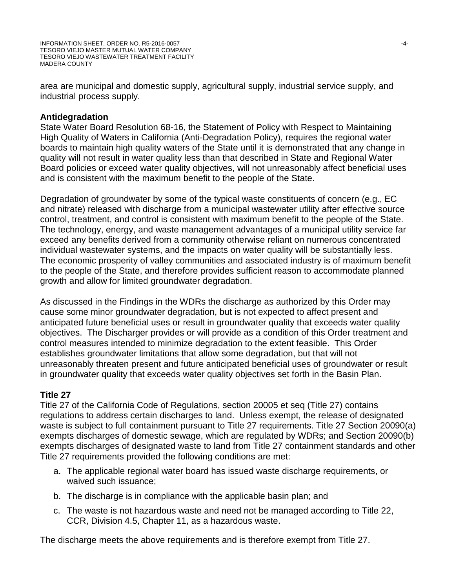area are municipal and domestic supply, agricultural supply, industrial service supply, and industrial process supply.

### **Antidegradation**

State Water Board Resolution 68-16, the Statement of Policy with Respect to Maintaining High Quality of Waters in California (Anti-Degradation Policy), requires the regional water boards to maintain high quality waters of the State until it is demonstrated that any change in quality will not result in water quality less than that described in State and Regional Water Board policies or exceed water quality objectives, will not unreasonably affect beneficial uses and is consistent with the maximum benefit to the people of the State.

Degradation of groundwater by some of the typical waste constituents of concern (e.g., EC and nitrate) released with discharge from a municipal wastewater utility after effective source control, treatment, and control is consistent with maximum benefit to the people of the State. The technology, energy, and waste management advantages of a municipal utility service far exceed any benefits derived from a community otherwise reliant on numerous concentrated individual wastewater systems, and the impacts on water quality will be substantially less. The economic prosperity of valley communities and associated industry is of maximum benefit to the people of the State, and therefore provides sufficient reason to accommodate planned growth and allow for limited groundwater degradation.

As discussed in the Findings in the WDRs the discharge as authorized by this Order may cause some minor groundwater degradation, but is not expected to affect present and anticipated future beneficial uses or result in groundwater quality that exceeds water quality objectives. The Discharger provides or will provide as a condition of this Order treatment and control measures intended to minimize degradation to the extent feasible. This Order establishes groundwater limitations that allow some degradation, but that will not unreasonably threaten present and future anticipated beneficial uses of groundwater or result in groundwater quality that exceeds water quality objectives set forth in the Basin Plan.

### **Title 27**

Title 27 of the California Code of Regulations, section 20005 et seq (Title 27) contains regulations to address certain discharges to land. Unless exempt, the release of designated waste is subject to full containment pursuant to Title 27 requirements. Title 27 Section 20090(a) exempts discharges of domestic sewage, which are regulated by WDRs; and Section 20090(b) exempts discharges of designated waste to land from Title 27 containment standards and other Title 27 requirements provided the following conditions are met:

- a. The applicable regional water board has issued waste discharge requirements, or waived such issuance;
- b. The discharge is in compliance with the applicable basin plan; and
- c. The waste is not hazardous waste and need not be managed according to Title 22, CCR, Division 4.5, Chapter 11, as a hazardous waste.

The discharge meets the above requirements and is therefore exempt from Title 27.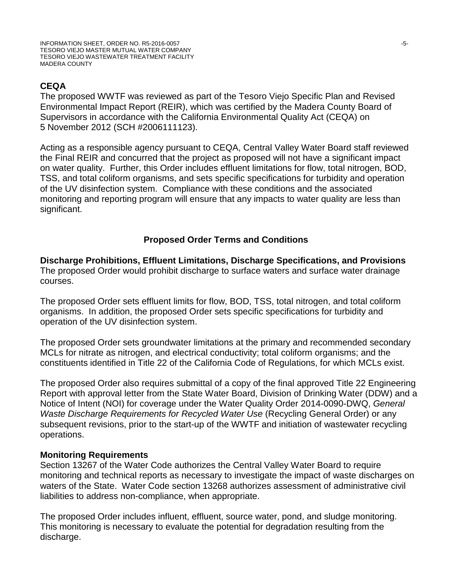# **CEQA**

The proposed WWTF was reviewed as part of the Tesoro Viejo Specific Plan and Revised Environmental Impact Report (REIR), which was certified by the Madera County Board of Supervisors in accordance with the California Environmental Quality Act (CEQA) on 5 November 2012 (SCH #2006111123).

Acting as a responsible agency pursuant to CEQA, Central Valley Water Board staff reviewed the Final REIR and concurred that the project as proposed will not have a significant impact on water quality. Further, this Order includes effluent limitations for flow, total nitrogen, BOD, TSS, and total coliform organisms, and sets specific specifications for turbidity and operation of the UV disinfection system. Compliance with these conditions and the associated monitoring and reporting program will ensure that any impacts to water quality are less than significant.

### **Proposed Order Terms and Conditions**

**Discharge Prohibitions, Effluent Limitations, Discharge Specifications, and Provisions** The proposed Order would prohibit discharge to surface waters and surface water drainage courses.

The proposed Order sets effluent limits for flow, BOD, TSS, total nitrogen, and total coliform organisms. In addition, the proposed Order sets specific specifications for turbidity and operation of the UV disinfection system.

The proposed Order sets groundwater limitations at the primary and recommended secondary MCLs for nitrate as nitrogen, and electrical conductivity; total coliform organisms; and the constituents identified in Title 22 of the California Code of Regulations, for which MCLs exist.

The proposed Order also requires submittal of a copy of the final approved Title 22 Engineering Report with approval letter from the State Water Board, Division of Drinking Water (DDW) and a Notice of Intent (NOI) for coverage under the Water Quality Order 2014-0090-DWQ, *General Waste Discharge Requirements for Recycled Water Use* (Recycling General Order) or any subsequent revisions, prior to the start-up of the WWTF and initiation of wastewater recycling operations.

### **Monitoring Requirements**

Section 13267 of the Water Code authorizes the Central Valley Water Board to require monitoring and technical reports as necessary to investigate the impact of waste discharges on waters of the State. Water Code section 13268 authorizes assessment of administrative civil liabilities to address non-compliance, when appropriate.

The proposed Order includes influent, effluent, source water, pond, and sludge monitoring. This monitoring is necessary to evaluate the potential for degradation resulting from the discharge.